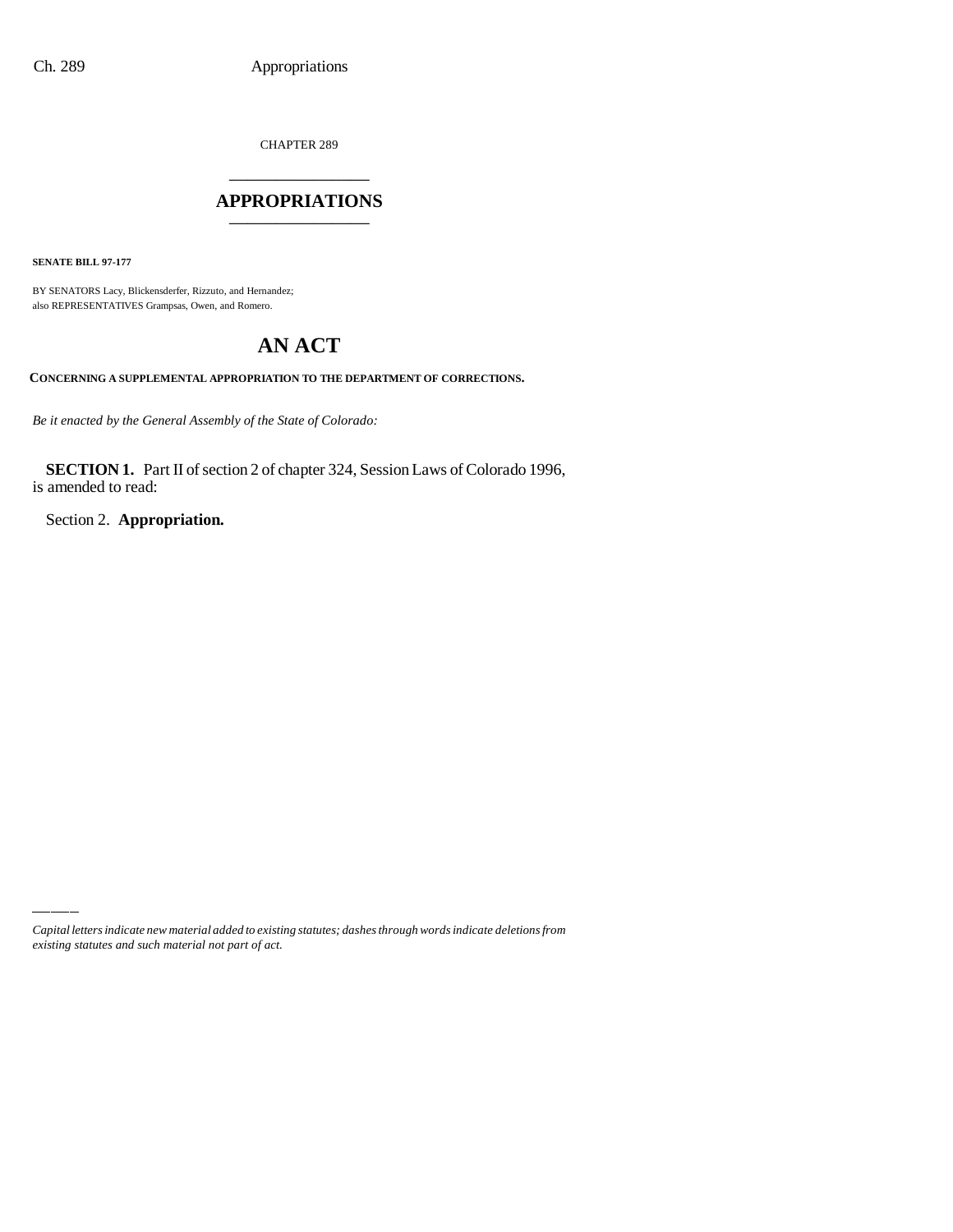CHAPTER 289

## \_\_\_\_\_\_\_\_\_\_\_\_\_\_\_ **APPROPRIATIONS** \_\_\_\_\_\_\_\_\_\_\_\_\_\_\_

**SENATE BILL 97-177**

BY SENATORS Lacy, Blickensderfer, Rizzuto, and Hernandez; also REPRESENTATIVES Grampsas, Owen, and Romero.

# **AN ACT**

**CONCERNING A SUPPLEMENTAL APPROPRIATION TO THE DEPARTMENT OF CORRECTIONS.**

*Be it enacted by the General Assembly of the State of Colorado:*

**SECTION 1.** Part II of section 2 of chapter 324, Session Laws of Colorado 1996, is amended to read:

Section 2. **Appropriation.**

*Capital letters indicate new material added to existing statutes; dashes through words indicate deletions from existing statutes and such material not part of act.*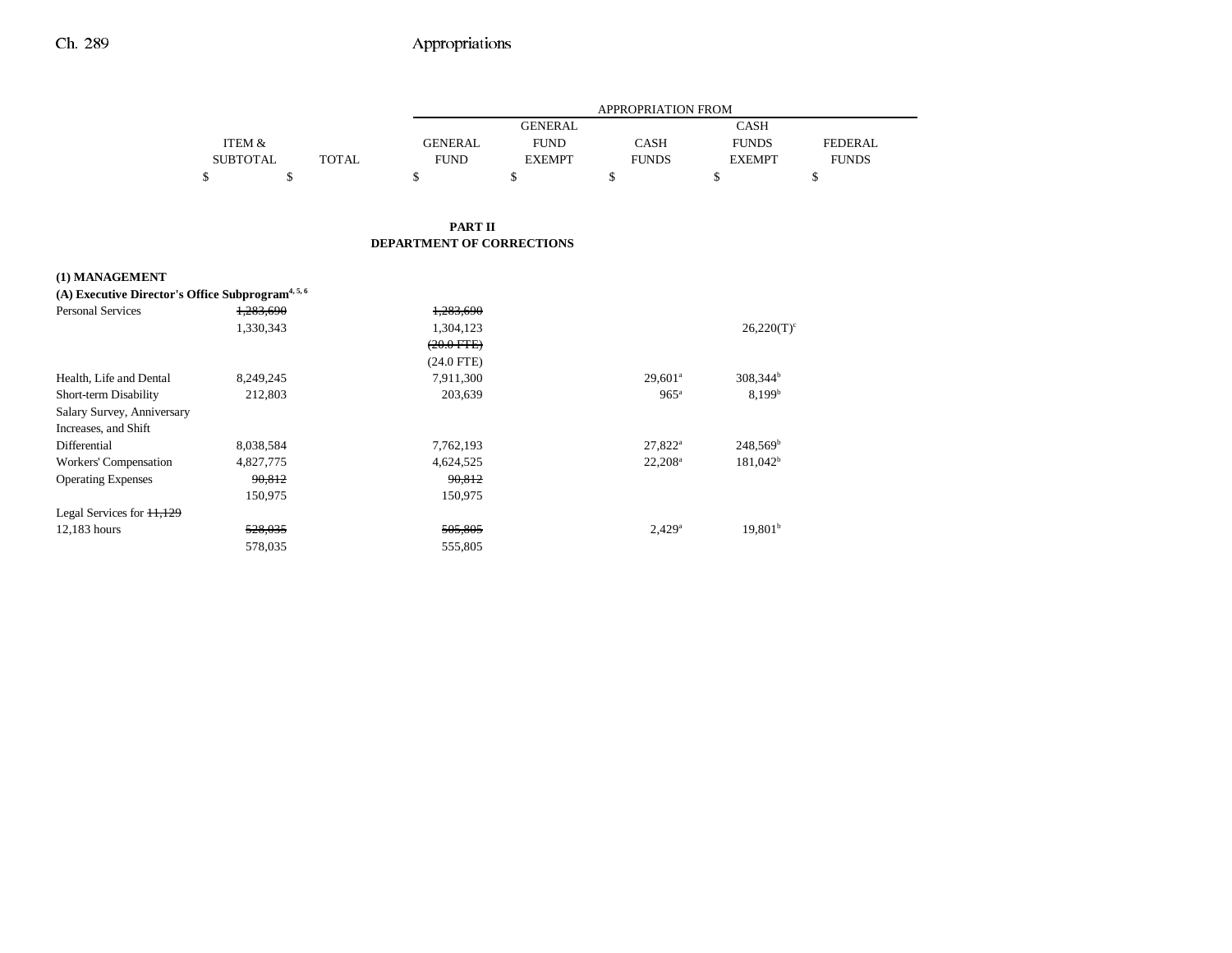|                |                 |        |       | <b>APPROPRIATION FROM</b>                          |                |              |               |              |
|----------------|-----------------|--------|-------|----------------------------------------------------|----------------|--------------|---------------|--------------|
|                |                 |        |       |                                                    | <b>GENERAL</b> |              | <b>CASH</b>   |              |
|                | ITEM &          |        |       | <b>GENERAL</b>                                     | <b>FUND</b>    | <b>CASH</b>  | <b>FUNDS</b>  | FEDERAL      |
|                | <b>SUBTOTAL</b> |        | TOTAL | <b>FUND</b>                                        | <b>EXEMPT</b>  | <b>FUNDS</b> | <b>EXEMPT</b> | <b>FUNDS</b> |
|                | ъ               | ¢<br>Φ |       | ъ                                                  | \$             | \$           | ъ             | \$           |
|                |                 |        |       | <b>PART II</b><br><b>DEPARTMENT OF CORRECTIONS</b> |                |              |               |              |
| (1) MANAGEMENT |                 |        |       |                                                    |                |              |               |              |

| (A) Executive Director's Office Subprogram <sup>4, 5, 6</sup> |           |                 |                      |                      |
|---------------------------------------------------------------|-----------|-----------------|----------------------|----------------------|
| <b>Personal Services</b>                                      | 1,283,690 | 1,283,690       |                      |                      |
|                                                               | 1,330,343 | 1,304,123       |                      | $26,220(T)^c$        |
|                                                               |           | $(20.0$ FTE $)$ |                      |                      |
|                                                               |           | $(24.0$ FTE)    |                      |                      |
| Health, Life and Dental                                       | 8,249,245 | 7,911,300       | $29,601^{\circ}$     | 308,344 <sup>b</sup> |
| Short-term Disability                                         | 212,803   | 203,639         | $965^{\circ}$        | 8.199 <sup>b</sup>   |
| Salary Survey, Anniversary                                    |           |                 |                      |                      |
| Increases, and Shift                                          |           |                 |                      |                      |
| Differential                                                  | 8,038,584 | 7,762,193       | $27,822^{\rm a}$     | $248,569^b$          |
| Workers' Compensation                                         | 4,827,775 | 4,624,525       | $22,208^{\rm a}$     | $181,042^b$          |
| <b>Operating Expenses</b>                                     | 90.812    | 90.812          |                      |                      |
|                                                               | 150,975   | 150,975         |                      |                      |
| Legal Services for $11,129$                                   |           |                 |                      |                      |
| 12,183 hours                                                  | 528,035   | 505,805         | $2.429$ <sup>a</sup> | 19,801 <sup>b</sup>  |
|                                                               | 578,035   | 555,805         |                      |                      |
|                                                               |           |                 |                      |                      |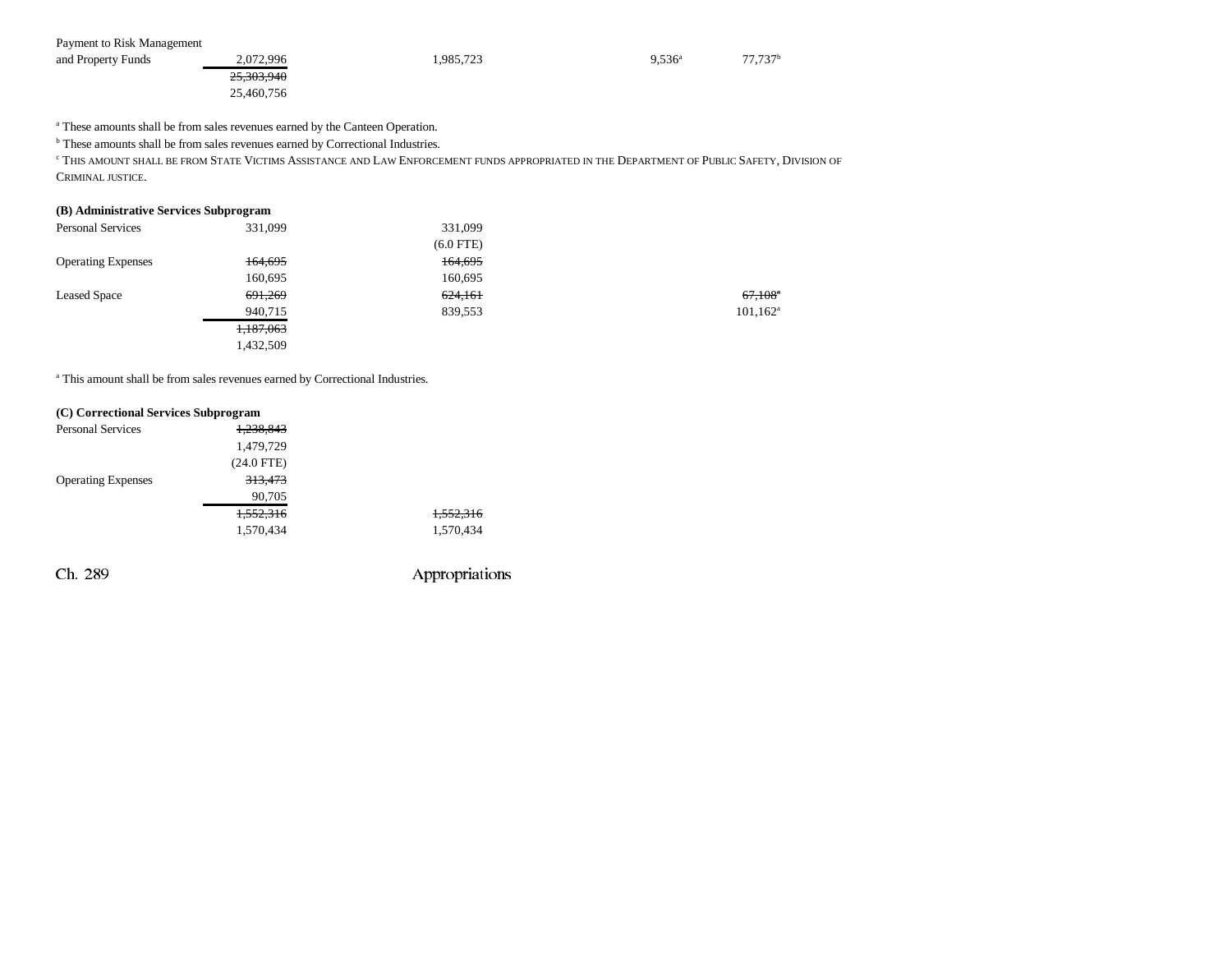| Payment to Risk Management |            |           |           |                     |
|----------------------------|------------|-----------|-----------|---------------------|
| and Property Funds         | 2,072,996  | 1,985,723 | $9.536^a$ | 77.737 <sup>b</sup> |
|                            | 25,303,940 |           |           |                     |
|                            | 25,460,756 |           |           |                     |

<sup>a</sup> These amounts shall be from sales revenues earned by the Canteen Operation.

**b** These amounts shall be from sales revenues earned by Correctional Industries.

<sup>c</sup> This amount shall be from State Victims Assistance and Law Enforcement funds appropriated in the Department of Public Safety, Division of CRIMINAL JUSTICE.

### **(B) Administrative Services Subprogram**

| <b>Personal Services</b>  | 331,099   | 331,099     |                       |
|---------------------------|-----------|-------------|-----------------------|
|                           |           | $(6.0$ FTE) |                       |
| <b>Operating Expenses</b> | 164,695   | 164,695     |                       |
|                           | 160,695   | 160,695     |                       |
| <b>Leased Space</b>       | 691,269   | 624,161     | $67,108$ <sup>a</sup> |
|                           | 940,715   | 839,553     | $101, 162^a$          |
|                           | 1,187,063 |             |                       |
|                           | 1,432,509 |             |                       |
|                           |           |             |                       |

a This amount shall be from sales revenues earned by Correctional Industries.

| (C) Correctional Services Subprogram |                    |                      |
|--------------------------------------|--------------------|----------------------|
| <b>Personal Services</b>             | 1,238,843          |                      |
|                                      | 1,479,729          |                      |
|                                      | $(24.0$ FTE)       |                      |
| <b>Operating Expenses</b>            | <del>313,473</del> |                      |
|                                      | 90,705             |                      |
|                                      | 1.552.316          | <del>1,552,316</del> |
|                                      | 1,570,434          | 1,570,434            |
|                                      |                    |                      |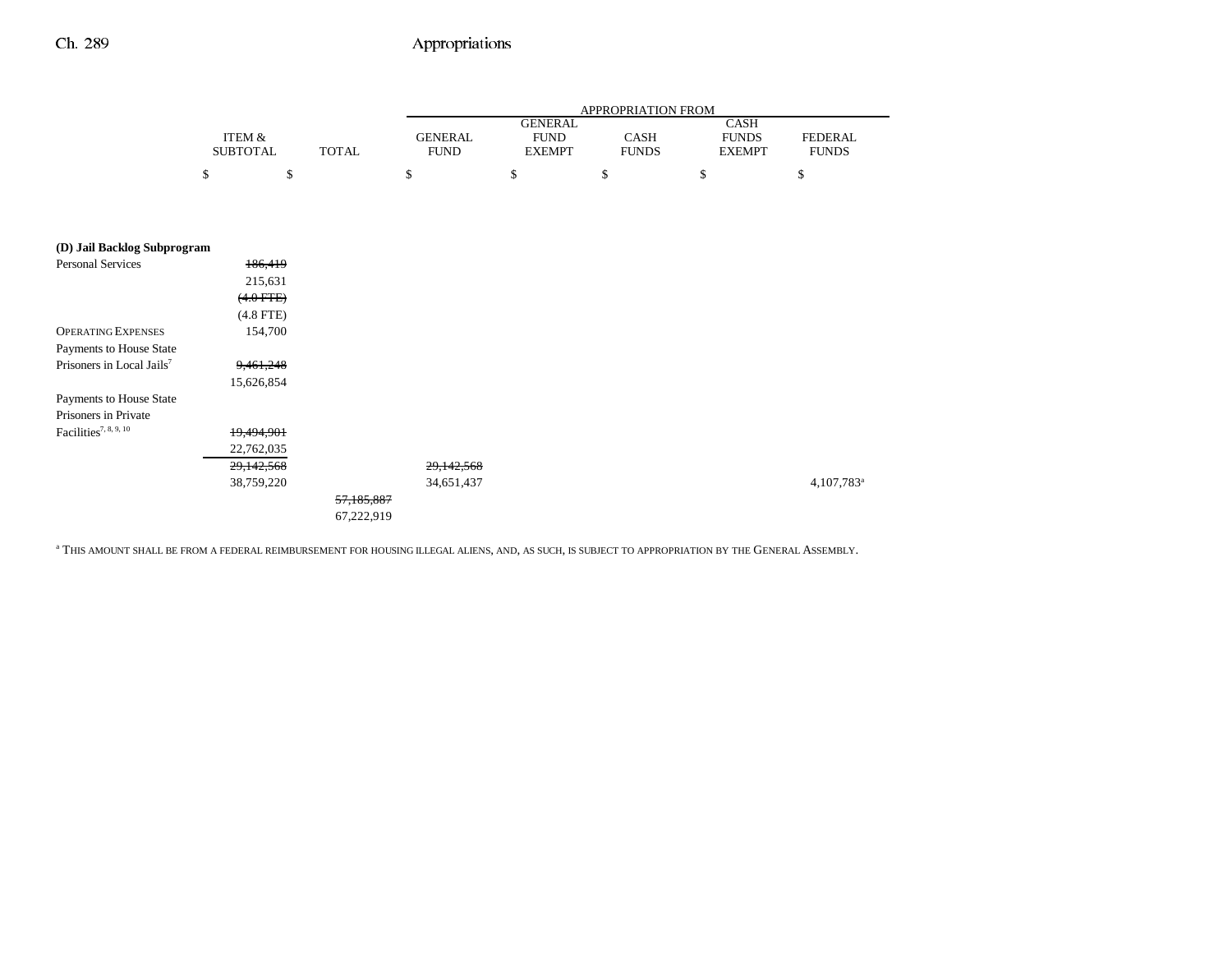|                                       |                                      |              |                               |                                                | APPROPRIATION FROM   |                                       |                                |
|---------------------------------------|--------------------------------------|--------------|-------------------------------|------------------------------------------------|----------------------|---------------------------------------|--------------------------------|
|                                       | <b>ITEM &amp;</b><br><b>SUBTOTAL</b> | <b>TOTAL</b> | <b>GENERAL</b><br><b>FUND</b> | <b>GENERAL</b><br><b>FUND</b><br><b>EXEMPT</b> | CASH<br><b>FUNDS</b> | CASH<br><b>FUNDS</b><br><b>EXEMPT</b> | <b>FEDERAL</b><br><b>FUNDS</b> |
|                                       | \$<br>\$                             | \$           |                               | \$                                             | \$                   | \$                                    | \$                             |
|                                       |                                      |              |                               |                                                |                      |                                       |                                |
|                                       |                                      |              |                               |                                                |                      |                                       |                                |
| (D) Jail Backlog Subprogram           |                                      |              |                               |                                                |                      |                                       |                                |
| <b>Personal Services</b>              | 186,419                              |              |                               |                                                |                      |                                       |                                |
|                                       | 215,631                              |              |                               |                                                |                      |                                       |                                |
|                                       | $(4.0$ FTE $)$                       |              |                               |                                                |                      |                                       |                                |
|                                       | $(4.8$ FTE)                          |              |                               |                                                |                      |                                       |                                |
| <b>OPERATING EXPENSES</b>             | 154,700                              |              |                               |                                                |                      |                                       |                                |
| Payments to House State               |                                      |              |                               |                                                |                      |                                       |                                |
| Prisoners in Local Jails <sup>7</sup> | 9,461,248                            |              |                               |                                                |                      |                                       |                                |
|                                       | 15,626,854                           |              |                               |                                                |                      |                                       |                                |
| Payments to House State               |                                      |              |                               |                                                |                      |                                       |                                |
| Prisoners in Private                  |                                      |              |                               |                                                |                      |                                       |                                |
| Facilities <sup>7, 8, 9, 10</sup>     | 19,494,901                           |              |                               |                                                |                      |                                       |                                |
|                                       | 22,762,035                           |              |                               |                                                |                      |                                       |                                |
|                                       | 29,142,568                           |              | 29,142,568                    |                                                |                      |                                       |                                |
|                                       | 38,759,220                           |              | 34,651,437                    |                                                |                      |                                       | 4,107,783 <sup>a</sup>         |
|                                       |                                      | 57,185,887   |                               |                                                |                      |                                       |                                |
|                                       |                                      | 67,222,919   |                               |                                                |                      |                                       |                                |

a THIS AMOUNT SHALL BE FROM A FEDERAL REIMBURSEMENT FOR HOUSING ILLEGAL ALIENS, AND, AS SUCH, IS SUBJECT TO APPROPRIATION BY THE GENERAL ASSEMBLY.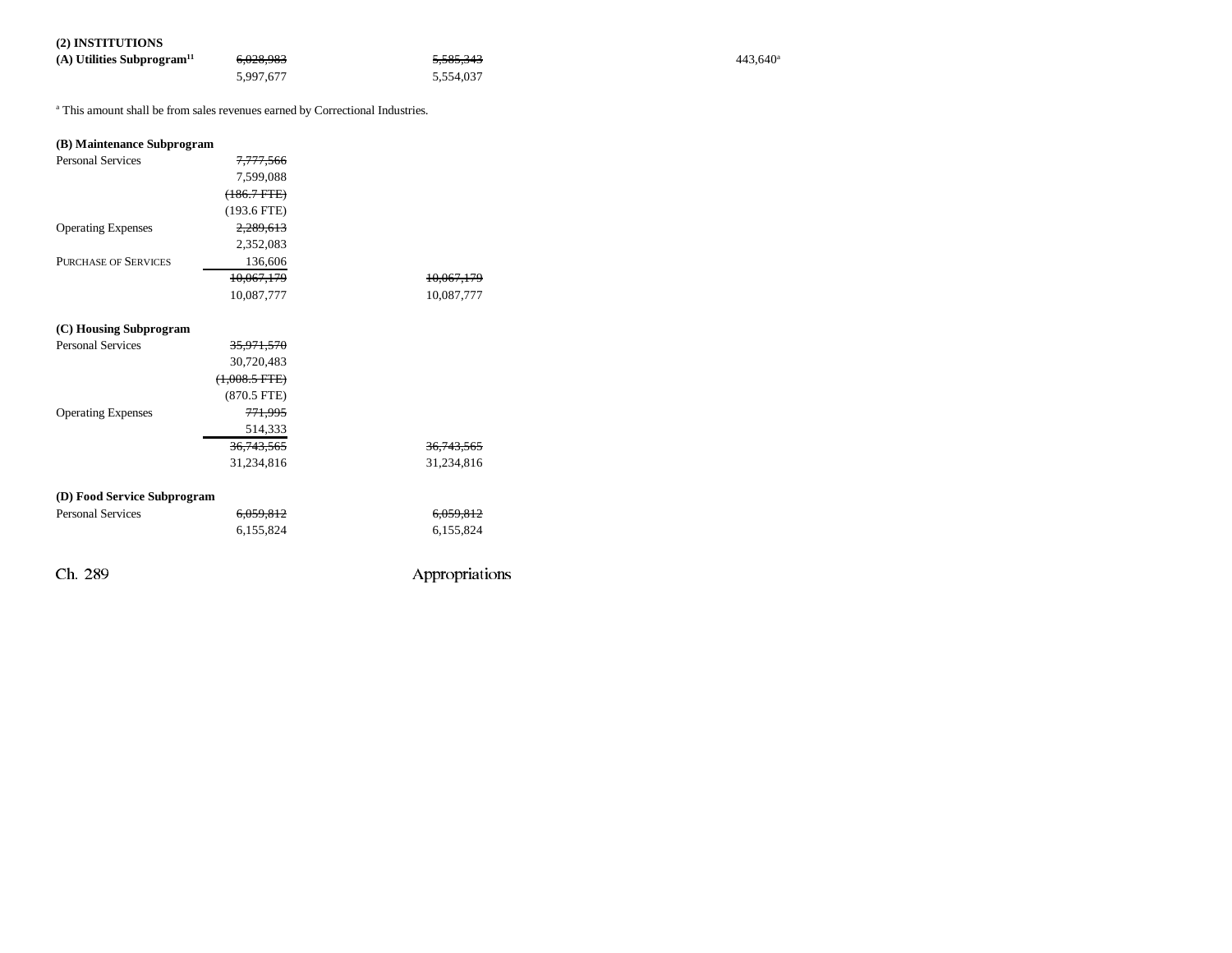### **(2) INSTITUTIONS**

| (A) Utilities Subprogram <sup>11</sup> | <del>6,028,983</del> | <del>5.585.343</del> | 443.640 <sup>a</sup> |
|----------------------------------------|----------------------|----------------------|----------------------|
|                                        | 5,997,677            | 5.554.037            |                      |

<sup>a</sup> This amount shall be from sales revenues earned by Correctional Industries.

| (B) Maintenance Subprogram  |                      |                       |
|-----------------------------|----------------------|-----------------------|
| <b>Personal Services</b>    | 7,777,566            |                       |
|                             | 7,599,088            |                       |
|                             | $(186.7$ FTE $)$     |                       |
|                             | $(193.6$ FTE)        |                       |
| <b>Operating Expenses</b>   | 2,289,613            |                       |
|                             | 2,352,083            |                       |
| <b>PURCHASE OF SERVICES</b> | 136,606              |                       |
|                             | 10,067,179           | 10,067,179            |
|                             | 10,087,777           | 10,087,777            |
|                             |                      |                       |
| (C) Housing Subprogram      |                      |                       |
| <b>Personal Services</b>    | 35,971,570           |                       |
|                             | 30,720,483           |                       |
|                             | $(+,008.5$ FTE $)$   |                       |
|                             | $(870.5$ FTE)        |                       |
| <b>Operating Expenses</b>   | 771,995              |                       |
|                             | 514,333              |                       |
|                             | 36, 743, 565         | <del>36,743,565</del> |
|                             | 31,234,816           | 31,234,816            |
|                             |                      |                       |
| (D) Food Service Subprogram |                      |                       |
| <b>Personal Services</b>    | <del>6,059,812</del> | 6,059,812             |
|                             | 6,155,824            | 6,155,824             |
|                             |                      |                       |
| Ch. 289                     |                      | Appropriations        |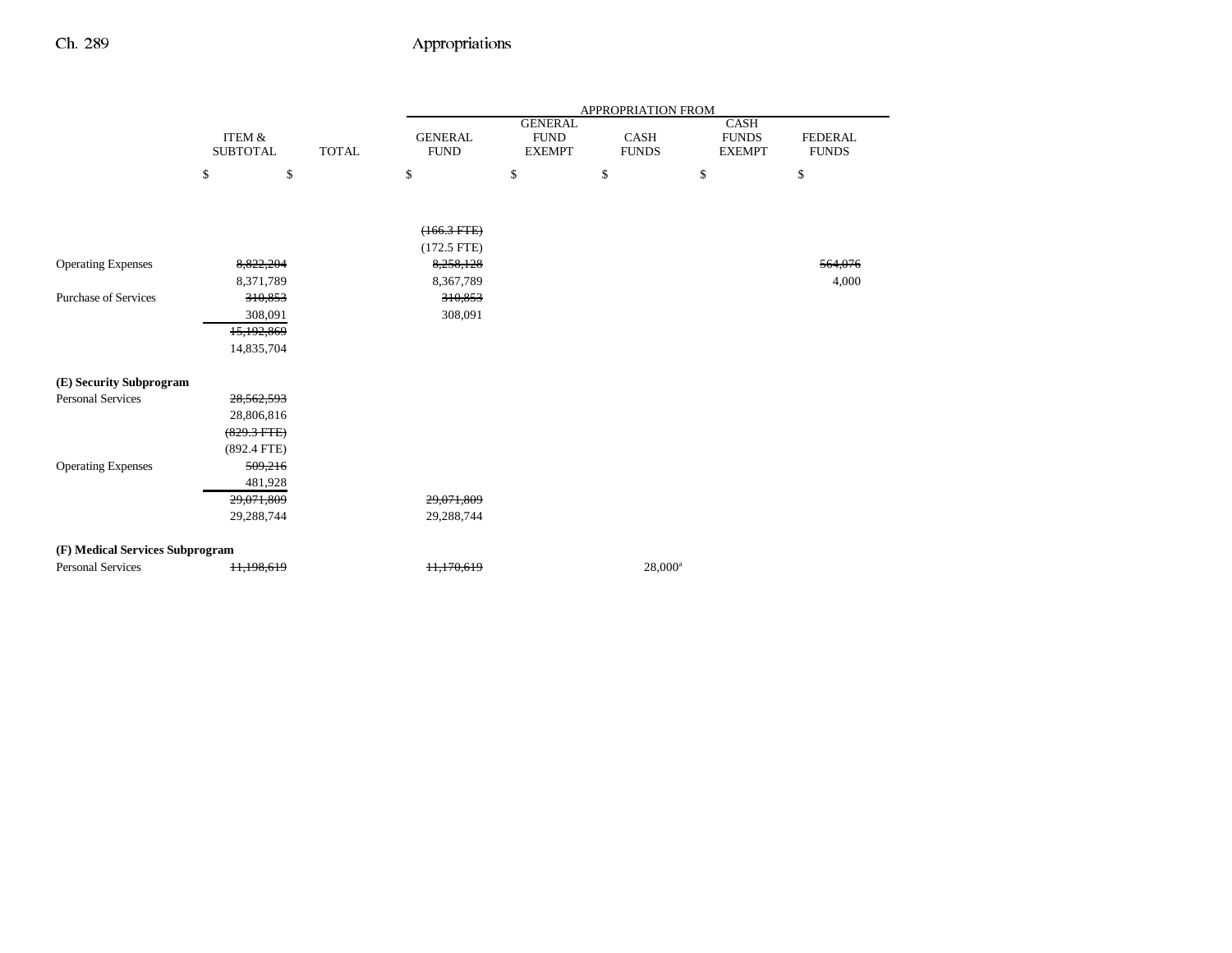|                                 |                   |              | APPROPRIATION FROM |                              |                      |                               |                                |
|---------------------------------|-------------------|--------------|--------------------|------------------------------|----------------------|-------------------------------|--------------------------------|
|                                 | <b>ITEM &amp;</b> |              | <b>GENERAL</b>     | <b>GENERAL</b>               |                      | CASH                          |                                |
|                                 | <b>SUBTOTAL</b>   | <b>TOTAL</b> | <b>FUND</b>        | <b>FUND</b><br><b>EXEMPT</b> | CASH<br><b>FUNDS</b> | <b>FUNDS</b><br><b>EXEMPT</b> | <b>FEDERAL</b><br><b>FUNDS</b> |
|                                 | \$<br>\$          |              | \$                 | \$                           | \$                   | \$                            | \$                             |
|                                 |                   |              |                    |                              |                      |                               |                                |
|                                 |                   |              |                    |                              |                      |                               |                                |
|                                 |                   |              | $(166.3 FTE)$      |                              |                      |                               |                                |
|                                 |                   |              | $(172.5$ FTE)      |                              |                      |                               |                                |
| <b>Operating Expenses</b>       | 8,822,204         |              | 8,258,128          |                              |                      |                               | 564,076                        |
|                                 | 8,371,789         |              | 8,367,789          |                              |                      |                               | 4,000                          |
| <b>Purchase of Services</b>     | 310,853           |              | 310,853            |                              |                      |                               |                                |
|                                 | 308,091           |              | 308,091            |                              |                      |                               |                                |
|                                 | 15,192,869        |              |                    |                              |                      |                               |                                |
|                                 | 14,835,704        |              |                    |                              |                      |                               |                                |
| (E) Security Subprogram         |                   |              |                    |                              |                      |                               |                                |
| <b>Personal Services</b>        | 28,562,593        |              |                    |                              |                      |                               |                                |
|                                 | 28,806,816        |              |                    |                              |                      |                               |                                |
|                                 | $(829.3$ FTE)     |              |                    |                              |                      |                               |                                |
|                                 | $(892.4$ FTE)     |              |                    |                              |                      |                               |                                |
| <b>Operating Expenses</b>       | 509,216           |              |                    |                              |                      |                               |                                |
|                                 | 481,928           |              |                    |                              |                      |                               |                                |
|                                 | 29,071,809        |              | 29,071,809         |                              |                      |                               |                                |
|                                 | 29,288,744        |              | 29,288,744         |                              |                      |                               |                                |
|                                 |                   |              |                    |                              |                      |                               |                                |
| (F) Medical Services Subprogram |                   |              |                    |                              |                      |                               |                                |
| <b>Personal Services</b>        | 11,198,619        |              | 11,170,619         |                              | $28,000^a$           |                               |                                |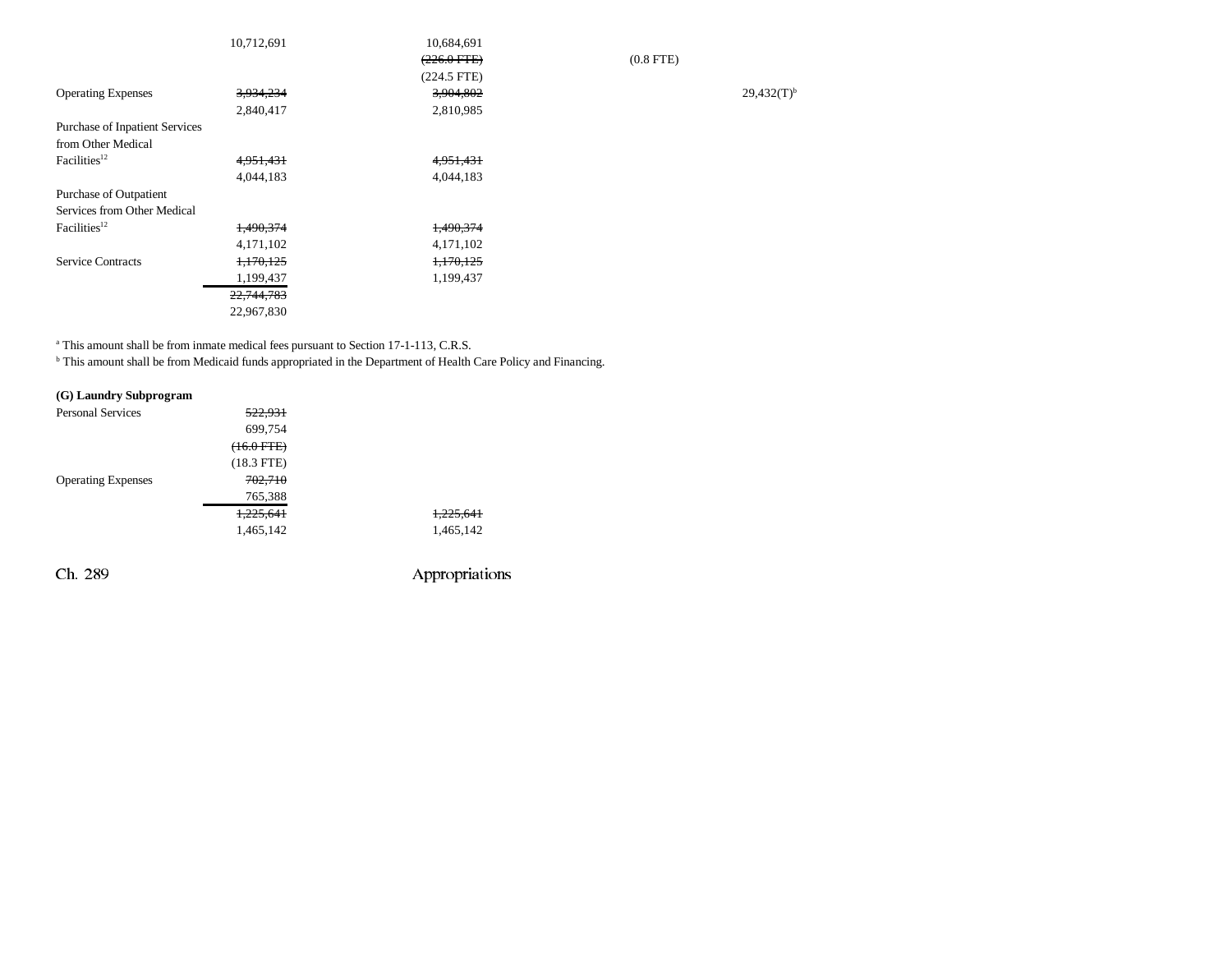|                                       | 10,712,691 | 10,684,691    |             |                 |
|---------------------------------------|------------|---------------|-------------|-----------------|
|                                       |            | $(226.0$ FTE) | $(0.8$ FTE) |                 |
|                                       |            | $(224.5$ FTE) |             |                 |
| <b>Operating Expenses</b>             | 3,934,234  | 3,904,802     |             | $29,432(T)^{b}$ |
|                                       | 2,840,417  | 2,810,985     |             |                 |
| <b>Purchase of Inpatient Services</b> |            |               |             |                 |
| from Other Medical                    |            |               |             |                 |
| Facilities <sup>12</sup>              | 4,951,431  | 4,951,431     |             |                 |
|                                       | 4,044,183  | 4,044,183     |             |                 |
| Purchase of Outpatient                |            |               |             |                 |
| Services from Other Medical           |            |               |             |                 |
| Facilities <sup>12</sup>              | 1,490,374  | 1,490,374     |             |                 |
|                                       | 4,171,102  | 4,171,102     |             |                 |
| <b>Service Contracts</b>              | 1,170,125  | 1,170,125     |             |                 |
|                                       | 1,199,437  | 1,199,437     |             |                 |
|                                       | 22,744,783 |               |             |                 |
|                                       | 22,967,830 |               |             |                 |
|                                       |            |               |             |                 |

a This amount shall be from inmate medical fees pursuant to Section 17-1-113, C.R.S.

b This amount shall be from Medicaid funds appropriated in the Department of Health Care Policy and Financing.

| (G) Laundry Subprogram    |              |           |
|---------------------------|--------------|-----------|
| <b>Personal Services</b>  | 522,931      |           |
|                           | 699,754      |           |
|                           | $(+6.0$ FTE) |           |
|                           | $(18.3$ FTE) |           |
| <b>Operating Expenses</b> | 702.710      |           |
|                           | 765,388      |           |
|                           | 1.225.641    |           |
|                           | 1,465,142    | 1,465,142 |
|                           |              |           |
|                           |              |           |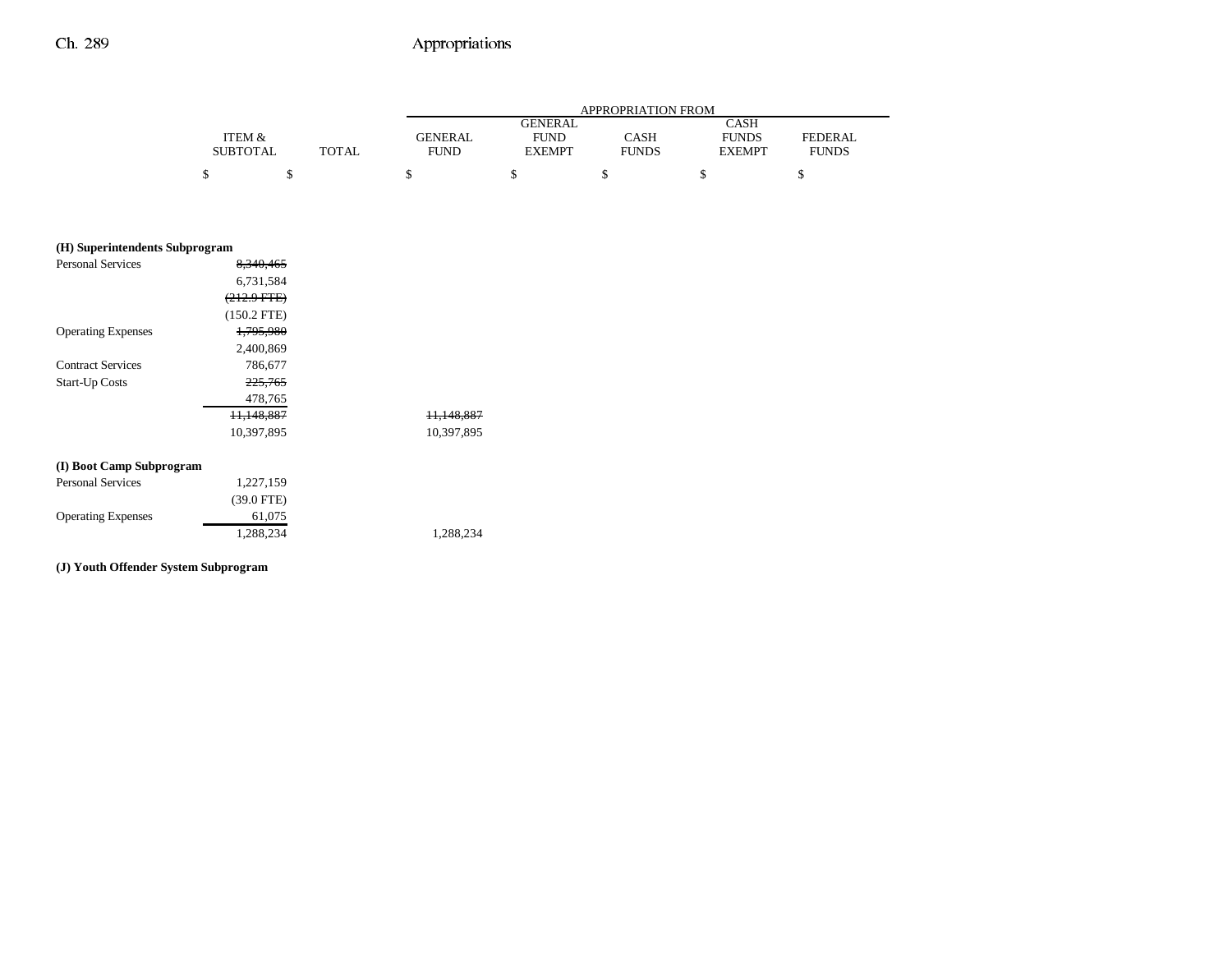|                 |              | APPROPRIATION FROM |                |              |               |                |
|-----------------|--------------|--------------------|----------------|--------------|---------------|----------------|
|                 |              |                    | <b>GENERAL</b> |              | CASH          |                |
| ITEM &          |              | <b>GENERAL</b>     | <b>FUND</b>    | CASH         | <b>FUNDS</b>  | <b>FEDERAL</b> |
| <b>SUBTOTAL</b> | <b>TOTAL</b> | <b>FUND</b>        | <b>EXEMPT</b>  | <b>FUNDS</b> | <b>EXEMPT</b> | <b>FUNDS</b>   |
|                 |              |                    |                |              |               |                |

| (H) Superintendents Subprogram |  |
|--------------------------------|--|
|--------------------------------|--|

| <b>Personal Services</b>  | 8.340.465              |                       |
|---------------------------|------------------------|-----------------------|
|                           | 6,731,584              |                       |
|                           | <del>(212.9 FTE)</del> |                       |
|                           | $(150.2$ FTE)          |                       |
| <b>Operating Expenses</b> | 1,795,980              |                       |
|                           | 2,400,869              |                       |
| <b>Contract Services</b>  | 786,677                |                       |
| <b>Start-Up Costs</b>     | 225,765                |                       |
|                           | 478,765                |                       |
|                           | 11.148.887             | <del>11.148.887</del> |
|                           | 10,397,895             | 10,397,895            |
| (I) Boot Camp Subprogram  |                        |                       |
| <b>Personal Services</b>  | 1,227,159              |                       |
|                           | $(39.0$ FTE)           |                       |
| <b>Operating Expenses</b> | 61,075                 |                       |
|                           | 1,288,234              | 1,288,234             |
|                           |                        |                       |

#### **(J) Youth Offender System Subprogram**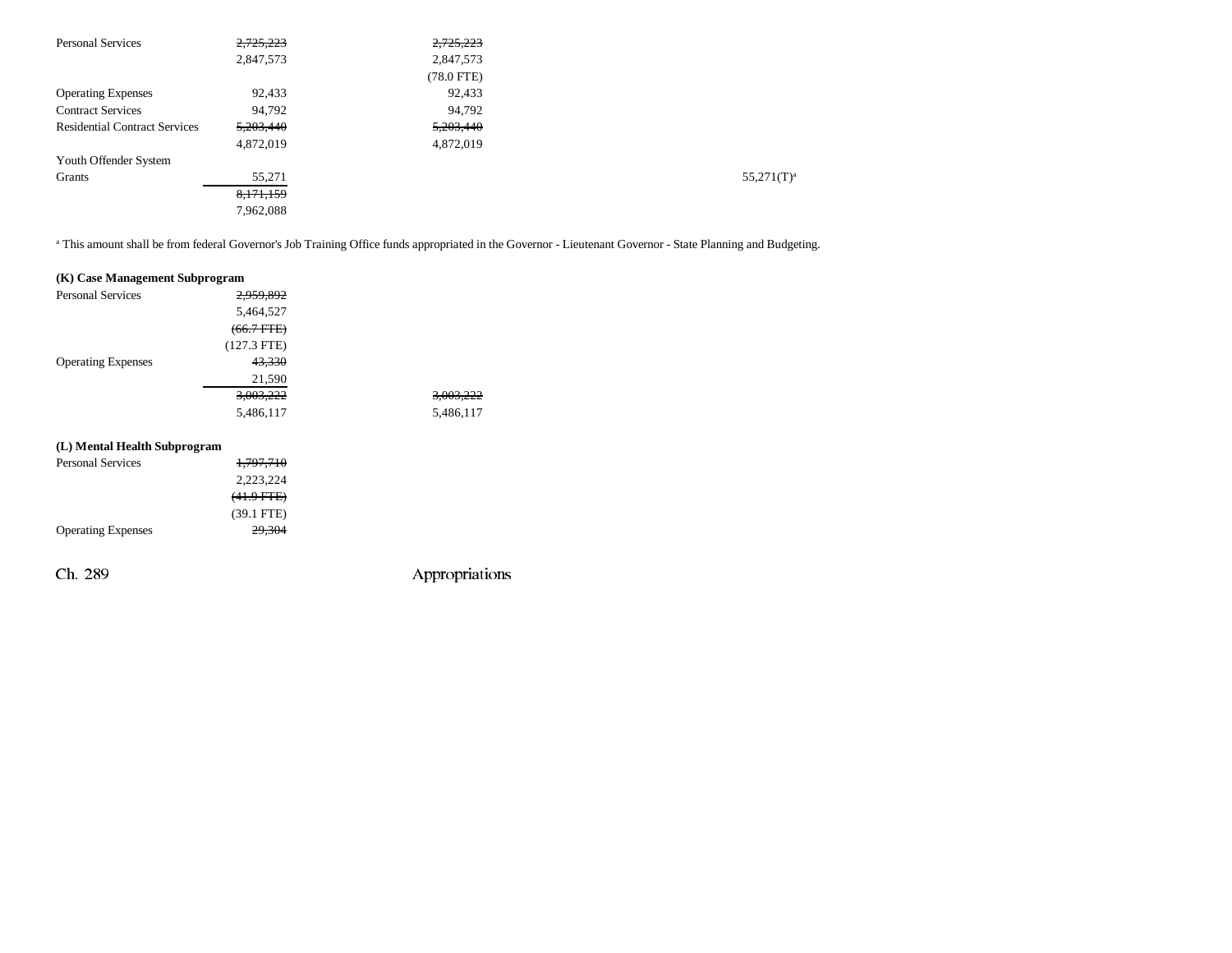| <b>Personal Services</b>             | 2,725,223 | 2,725,223    |               |
|--------------------------------------|-----------|--------------|---------------|
|                                      | 2,847,573 | 2,847,573    |               |
|                                      |           | $(78.0$ FTE) |               |
| <b>Operating Expenses</b>            | 92,433    | 92,433       |               |
| <b>Contract Services</b>             | 94,792    | 94,792       |               |
| <b>Residential Contract Services</b> | 5,203,440 | 5,203,440    |               |
|                                      | 4,872,019 | 4,872,019    |               |
| Youth Offender System                |           |              |               |
| Grants                               | 55,271    |              | $55,271(T)^a$ |
|                                      | 8,171,159 |              |               |
|                                      | 7,962,088 |              |               |

<sup>a</sup> This amount shall be from federal Governor's Job Training Office funds appropriated in the Governor - Lieutenant Governor - State Planning and Budgeting.

#### **(K) Case Management Subprogram**

|                           | . .           |                      |
|---------------------------|---------------|----------------------|
| <b>Personal Services</b>  | 2,959,892     |                      |
|                           | 5,464,527     |                      |
|                           | $(66.7$ FTE)  |                      |
|                           | $(127.3$ FTE) |                      |
| <b>Operating Expenses</b> | 43,330        |                      |
|                           | 21,590        |                      |
|                           | 3,003,222     | <del>3,003,222</del> |
|                           | 5,486,117     | 5,486,117            |
|                           |               |                      |

#### **(L) Mental Health Subprogram**

| <b>Personal Services</b>  | 1,797,710       |  |
|---------------------------|-----------------|--|
|                           | 2,223,224       |  |
|                           | $(41.9$ FTE $)$ |  |
|                           | $(39.1$ FTE)    |  |
| <b>Operating Expenses</b> | 29,304          |  |
|                           |                 |  |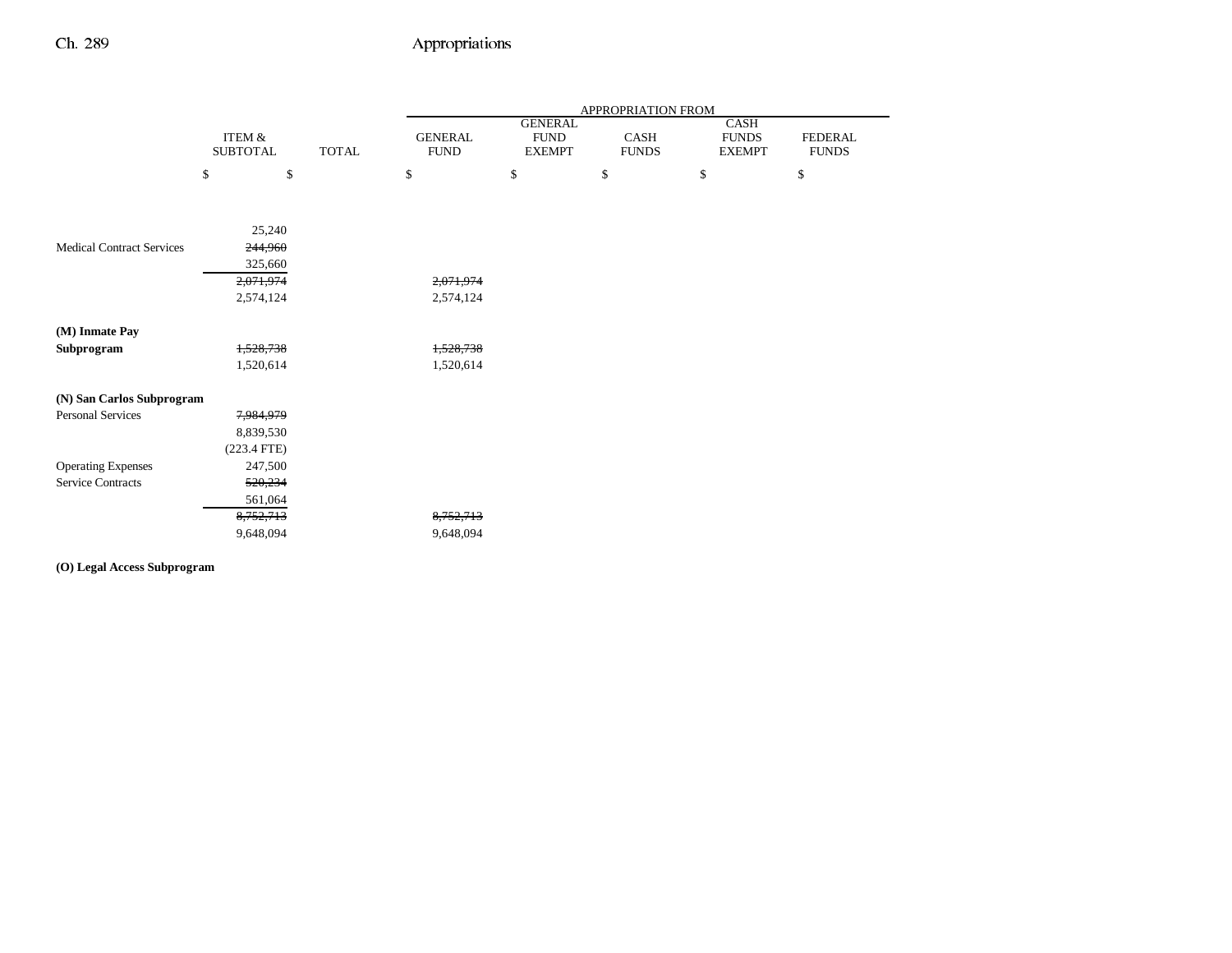|                                  |                   |              | APPROPRIATION FROM |                               |              |                      |                |  |
|----------------------------------|-------------------|--------------|--------------------|-------------------------------|--------------|----------------------|----------------|--|
|                                  | <b>ITEM &amp;</b> |              | <b>GENERAL</b>     | <b>GENERAL</b><br><b>FUND</b> | CASH         | CASH<br><b>FUNDS</b> | <b>FEDERAL</b> |  |
|                                  | <b>SUBTOTAL</b>   | <b>TOTAL</b> | <b>FUND</b>        | <b>EXEMPT</b>                 | <b>FUNDS</b> | <b>EXEMPT</b>        | <b>FUNDS</b>   |  |
|                                  | \$<br>\$          |              | \$                 | \$                            | \$           | \$                   | $\$$           |  |
|                                  | 25,240            |              |                    |                               |              |                      |                |  |
| <b>Medical Contract Services</b> | 244,960           |              |                    |                               |              |                      |                |  |
|                                  | 325,660           |              |                    |                               |              |                      |                |  |
|                                  | 2,071,974         |              | 2,071,974          |                               |              |                      |                |  |
|                                  | 2,574,124         |              | 2,574,124          |                               |              |                      |                |  |
| (M) Inmate Pay                   |                   |              |                    |                               |              |                      |                |  |
| Subprogram                       | 1,528,738         |              | 1,528,738          |                               |              |                      |                |  |
|                                  | 1,520,614         |              | 1,520,614          |                               |              |                      |                |  |
| (N) San Carlos Subprogram        |                   |              |                    |                               |              |                      |                |  |
| <b>Personal Services</b>         | 7,984,979         |              |                    |                               |              |                      |                |  |
|                                  | 8,839,530         |              |                    |                               |              |                      |                |  |
|                                  | $(223.4$ FTE)     |              |                    |                               |              |                      |                |  |
| <b>Operating Expenses</b>        | 247,500           |              |                    |                               |              |                      |                |  |
| <b>Service Contracts</b>         | 520,234           |              |                    |                               |              |                      |                |  |
|                                  | 561,064           |              |                    |                               |              |                      |                |  |
|                                  | 8,752,713         |              | 8,752,713          |                               |              |                      |                |  |
|                                  | 9,648,094         |              | 9,648,094          |                               |              |                      |                |  |

**(O) Legal Access Subprogram**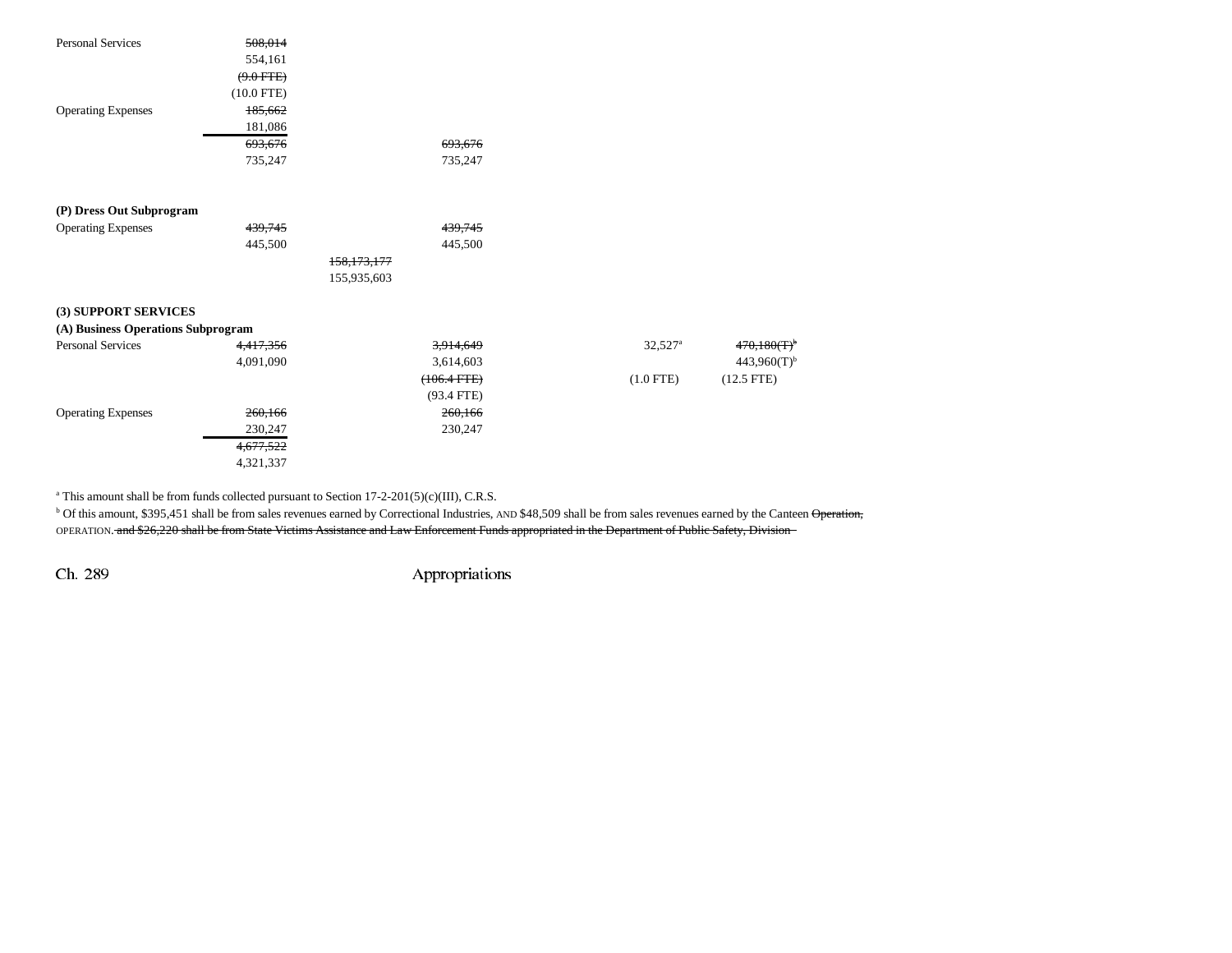| <b>Personal Services</b>           | 508,014      |                  |                       |                           |
|------------------------------------|--------------|------------------|-----------------------|---------------------------|
|                                    | 554,161      |                  |                       |                           |
|                                    | $(9.0$ FTE)  |                  |                       |                           |
|                                    | $(10.0$ FTE) |                  |                       |                           |
| <b>Operating Expenses</b>          | 185,662      |                  |                       |                           |
|                                    | 181,086      |                  |                       |                           |
|                                    | 693,676      | 693,676          |                       |                           |
|                                    | 735,247      | 735,247          |                       |                           |
|                                    |              |                  |                       |                           |
| (P) Dress Out Subprogram           |              |                  |                       |                           |
| <b>Operating Expenses</b>          | 439,745      | 439,745          |                       |                           |
|                                    | 445,500      | 445,500          |                       |                           |
|                                    |              | 158,173,177      |                       |                           |
|                                    |              | 155,935,603      |                       |                           |
| (3) SUPPORT SERVICES               |              |                  |                       |                           |
| (A) Business Operations Subprogram |              |                  |                       |                           |
| <b>Personal Services</b>           | 4,417,356    | 3,914,649        | $32,527$ <sup>a</sup> | $470,180(T)$ <sup>t</sup> |
|                                    | 4,091,090    | 3,614,603        |                       | $443,960(T)$ <sup>b</sup> |
|                                    |              | $(106.4$ FTE $)$ | $(1.0$ FTE)           | $(12.5$ FTE)              |
|                                    |              | $(93.4$ FTE)     |                       |                           |
| <b>Operating Expenses</b>          | 260,166      | 260,166          |                       |                           |
|                                    | 230,247      | 230,247          |                       |                           |
|                                    | 4,677,522    |                  |                       |                           |
|                                    | 4,321,337    |                  |                       |                           |
|                                    |              |                  |                       |                           |

<sup>a</sup> This amount shall be from funds collected pursuant to Section 17-2-201(5)(c)(III), C.R.S.

<sup>b</sup> Of this amount, \$395,451 shall be from sales revenues earned by Correctional Industries, AND \$48,509 shall be from sales revenues earned by the Canteen Operation, OPERATION. and \$26,220 shall be from State Victims Assistance and Law Enforcement Funds appropriated in the Department of Public Safety, Division

 $443,960(T)$ <sup>b</sup>  $(12.5$  FTE)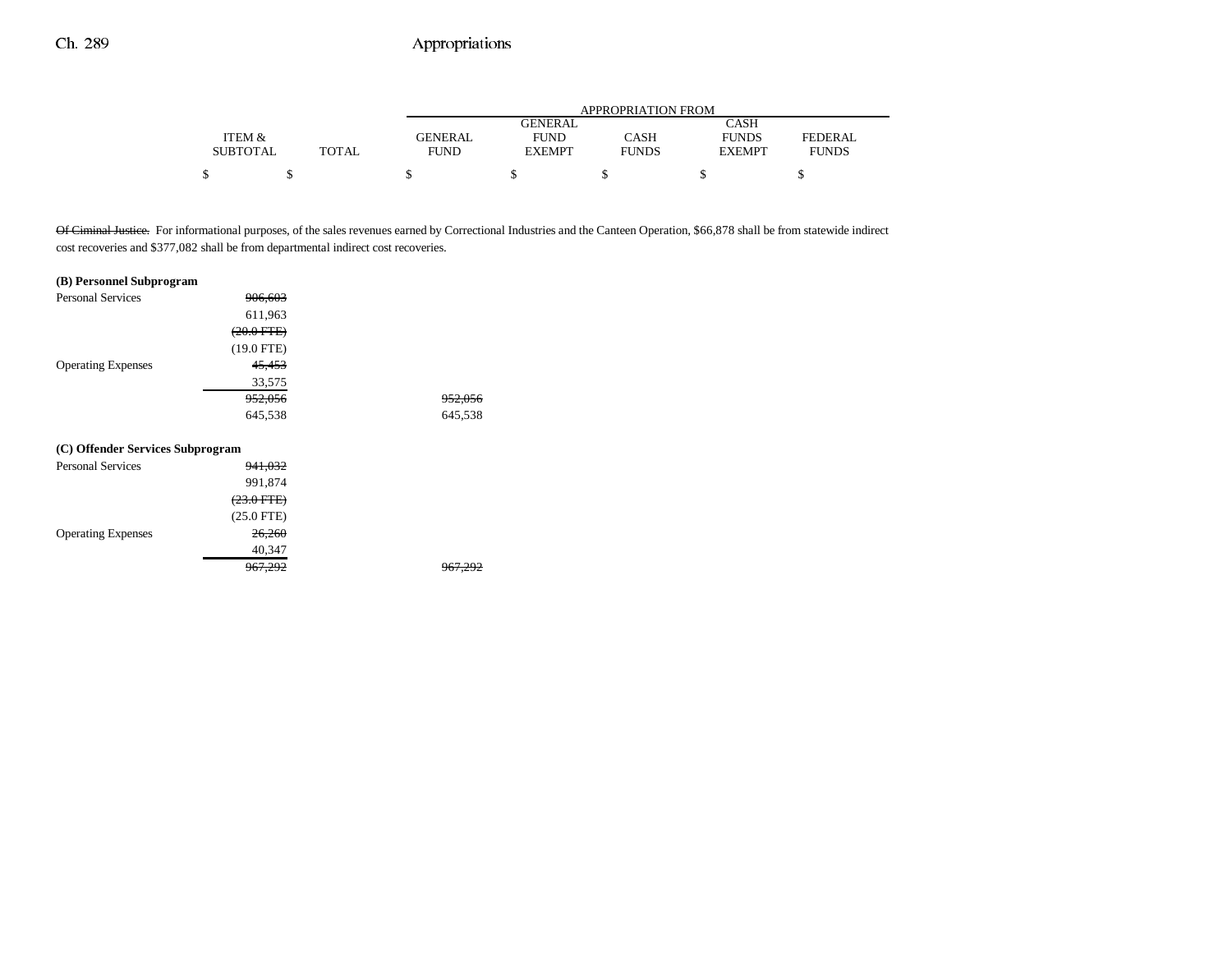|                 |              | <b>APPROPRIATION FROM</b> |                |              |               |              |  |  |
|-----------------|--------------|---------------------------|----------------|--------------|---------------|--------------|--|--|
|                 |              |                           | <b>GENERAL</b> |              | CASH          |              |  |  |
| ITEM &          |              | <b>GENERAL</b>            | <b>FUND</b>    | CASH         | <b>FUNDS</b>  | FEDERAL      |  |  |
| <b>SUBTOTAL</b> | <b>TOTAL</b> | FUND                      | <b>EXEMPT</b>  | <b>FUNDS</b> | <b>EXEMPT</b> | <b>FUNDS</b> |  |  |
|                 |              |                           |                |              |               |              |  |  |

Of Ciminal Justice. For informational purposes, of the sales revenues earned by Correctional Industries and the Canteen Operation, \$66,878 shall be from statewide indirect cost recoveries and \$377,082 shall be from departmental indirect cost recoveries.

#### **(B) Personnel Subprogram**

| <b>Personal Services</b>         | <del>906.603</del>    |                    |
|----------------------------------|-----------------------|--------------------|
|                                  | 611,963               |                    |
|                                  | $(20.0$ FTE $)$       |                    |
|                                  | $(19.0$ FTE)          |                    |
| <b>Operating Expenses</b>        | 45,453                |                    |
|                                  | 33,575                |                    |
|                                  | 952,056               | <del>952,056</del> |
|                                  | 645,538               | 645,538            |
|                                  |                       |                    |
| (C) Offender Services Subprogram |                       |                    |
| <b>Personal Services</b>         | <del>941,032</del>    |                    |
|                                  | 991,874               |                    |
|                                  | <del>(23.0 FTE)</del> |                    |
|                                  | $(25.0$ FTE)          |                    |
| <b>Operating Expenses</b>        | <del>26,260</del>     |                    |
|                                  | 40,347                |                    |
|                                  | <del>967.292</del>    |                    |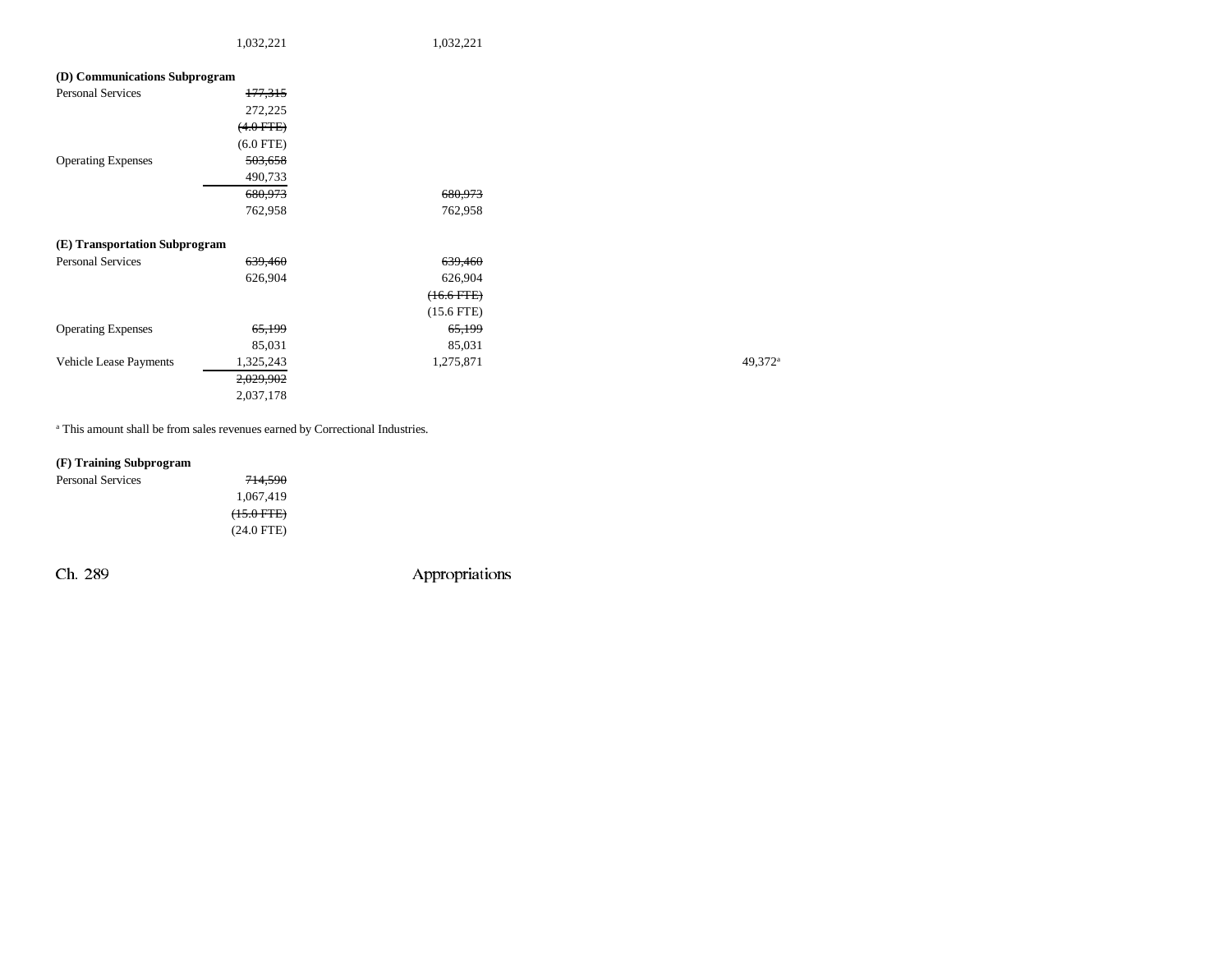1,032,221 1,032,221

| (D) Communications Subprogram |                |                 |                     |
|-------------------------------|----------------|-----------------|---------------------|
| Personal Services             | 177,315        |                 |                     |
|                               | 272,225        |                 |                     |
|                               | $(4.0$ FTE $)$ |                 |                     |
|                               | $(6.0$ FTE)    |                 |                     |
| <b>Operating Expenses</b>     | 503,658        |                 |                     |
|                               | 490,733        |                 |                     |
|                               | 680,973        | 680,973         |                     |
|                               | 762,958        | 762,958         |                     |
| (E) Transportation Subprogram |                |                 |                     |
| <b>Personal Services</b>      | 639,460        | 639,460         |                     |
|                               | 626,904        | 626,904         |                     |
|                               |                | $(16.6$ FTE $)$ |                     |
|                               |                | $(15.6$ FTE)    |                     |
| <b>Operating Expenses</b>     | 65,199         | 65,199          |                     |
|                               | 85,031         | 85,031          |                     |
| Vehicle Lease Payments        | 1,325,243      | 1,275,871       | 49,372 <sup>a</sup> |
|                               | 2,029,902      |                 |                     |
|                               | 2,037,178      |                 |                     |

a This amount shall be from sales revenues earned by Correctional Industries.

### **(F) Training Subprogram**

| Personal Services | 714,590         |
|-------------------|-----------------|
|                   | 1.067.419       |
|                   | $(15.0$ FTE $)$ |
|                   | $(24.0$ FTE)    |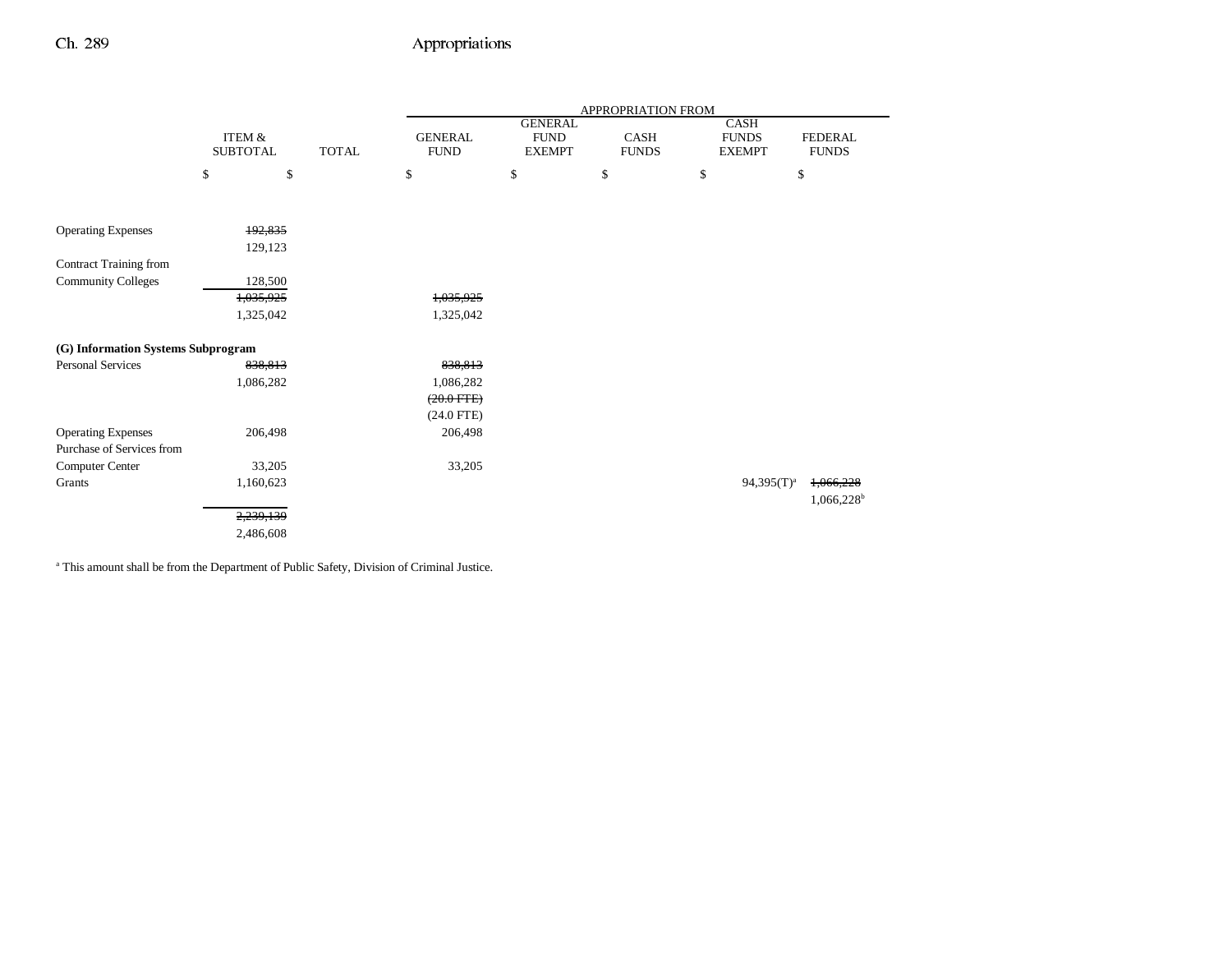|                                    |                   |              | APPROPRIATION FROM |                |              |                 |                        |  |
|------------------------------------|-------------------|--------------|--------------------|----------------|--------------|-----------------|------------------------|--|
|                                    |                   |              |                    | <b>GENERAL</b> |              | <b>CASH</b>     |                        |  |
|                                    | <b>ITEM &amp;</b> |              | <b>GENERAL</b>     | <b>FUND</b>    | <b>CASH</b>  | <b>FUNDS</b>    | <b>FEDERAL</b>         |  |
|                                    | <b>SUBTOTAL</b>   | <b>TOTAL</b> | <b>FUND</b>        | <b>EXEMPT</b>  | <b>FUNDS</b> | <b>EXEMPT</b>   | <b>FUNDS</b>           |  |
|                                    | \$<br>\$          |              | \$                 | \$             | \$           | \$              | \$                     |  |
|                                    |                   |              |                    |                |              |                 |                        |  |
| <b>Operating Expenses</b>          | 192,835           |              |                    |                |              |                 |                        |  |
|                                    | 129,123           |              |                    |                |              |                 |                        |  |
| <b>Contract Training from</b>      |                   |              |                    |                |              |                 |                        |  |
| <b>Community Colleges</b>          | 128,500           |              |                    |                |              |                 |                        |  |
|                                    | 1,035,925         |              | 1,035,925          |                |              |                 |                        |  |
|                                    | 1,325,042         |              | 1,325,042          |                |              |                 |                        |  |
| (G) Information Systems Subprogram |                   |              |                    |                |              |                 |                        |  |
| <b>Personal Services</b>           | 838,813           |              | 838,813            |                |              |                 |                        |  |
|                                    | 1,086,282         |              | 1,086,282          |                |              |                 |                        |  |
|                                    |                   |              | $(20.0$ FTE $)$    |                |              |                 |                        |  |
|                                    |                   |              | $(24.0$ FTE)       |                |              |                 |                        |  |
| <b>Operating Expenses</b>          | 206,498           |              | 206,498            |                |              |                 |                        |  |
| Purchase of Services from          |                   |              |                    |                |              |                 |                        |  |
|                                    |                   |              |                    |                |              |                 |                        |  |
| Computer Center                    | 33,205            |              | 33,205             |                |              |                 |                        |  |
| Grants                             | 1,160,623         |              |                    |                |              | $94,395(T)^{a}$ | 1,066,228              |  |
|                                    |                   |              |                    |                |              |                 | 1,066,228 <sup>b</sup> |  |
|                                    | 2,239,139         |              |                    |                |              |                 |                        |  |
|                                    | 2,486,608         |              |                    |                |              |                 |                        |  |

a This amount shall be from the Department of Public Safety, Division of Criminal Justice.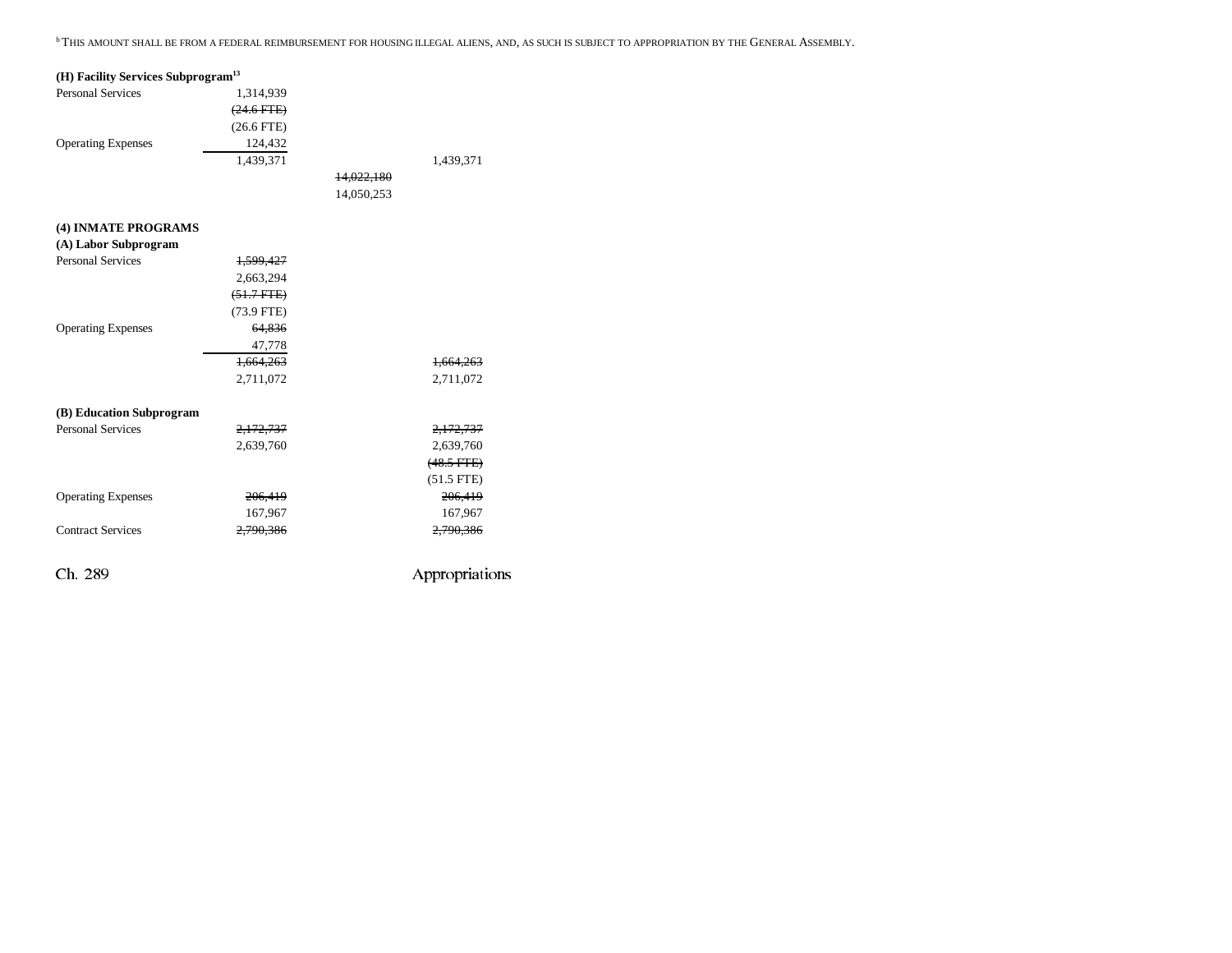<sup>b</sup> This amount shall be from a federal reimbursement for housing illegal aliens, and, as such is subject to appropriation by the General Assembly.

| (H) Facility Services Subprogram <sup>13</sup> |              |            |                 |
|------------------------------------------------|--------------|------------|-----------------|
| <b>Personal Services</b>                       | 1,314,939    |            |                 |
|                                                | $(24.6$ FTE) |            |                 |
|                                                | $(26.6$ FTE) |            |                 |
| <b>Operating Expenses</b>                      | 124,432      |            |                 |
|                                                | 1.439.371    |            | 1,439,371       |
|                                                |              | 14,022,180 |                 |
|                                                |              | 14,050,253 |                 |
| (4) INMATE PROGRAMS                            |              |            |                 |
| (A) Labor Subprogram                           |              |            |                 |
| <b>Personal Services</b>                       | 1,599,427    |            |                 |
|                                                | 2,663,294    |            |                 |
|                                                | $(51.7$ FTE) |            |                 |
|                                                | $(73.9$ FTE) |            |                 |
| <b>Operating Expenses</b>                      | 64,836       |            |                 |
|                                                | 47,778       |            |                 |
|                                                | 1,664,263    |            | 1,664,263       |
|                                                | 2,711,072    |            | 2,711,072       |
| (B) Education Subprogram                       |              |            |                 |
| <b>Personal Services</b>                       | 2,172,737    |            | 2,172,737       |
|                                                | 2,639,760    |            | 2,639,760       |
|                                                |              |            | $(48.5$ FTE $)$ |
|                                                |              |            | $(51.5$ FTE)    |
| <b>Operating Expenses</b>                      | 206,419      |            | 206,419         |
|                                                | 167,967      |            | 167,967         |
| <b>Contract Services</b>                       | 2,790,386    |            | 2,790,386       |
| Ch. 289                                        |              |            | Appropriations  |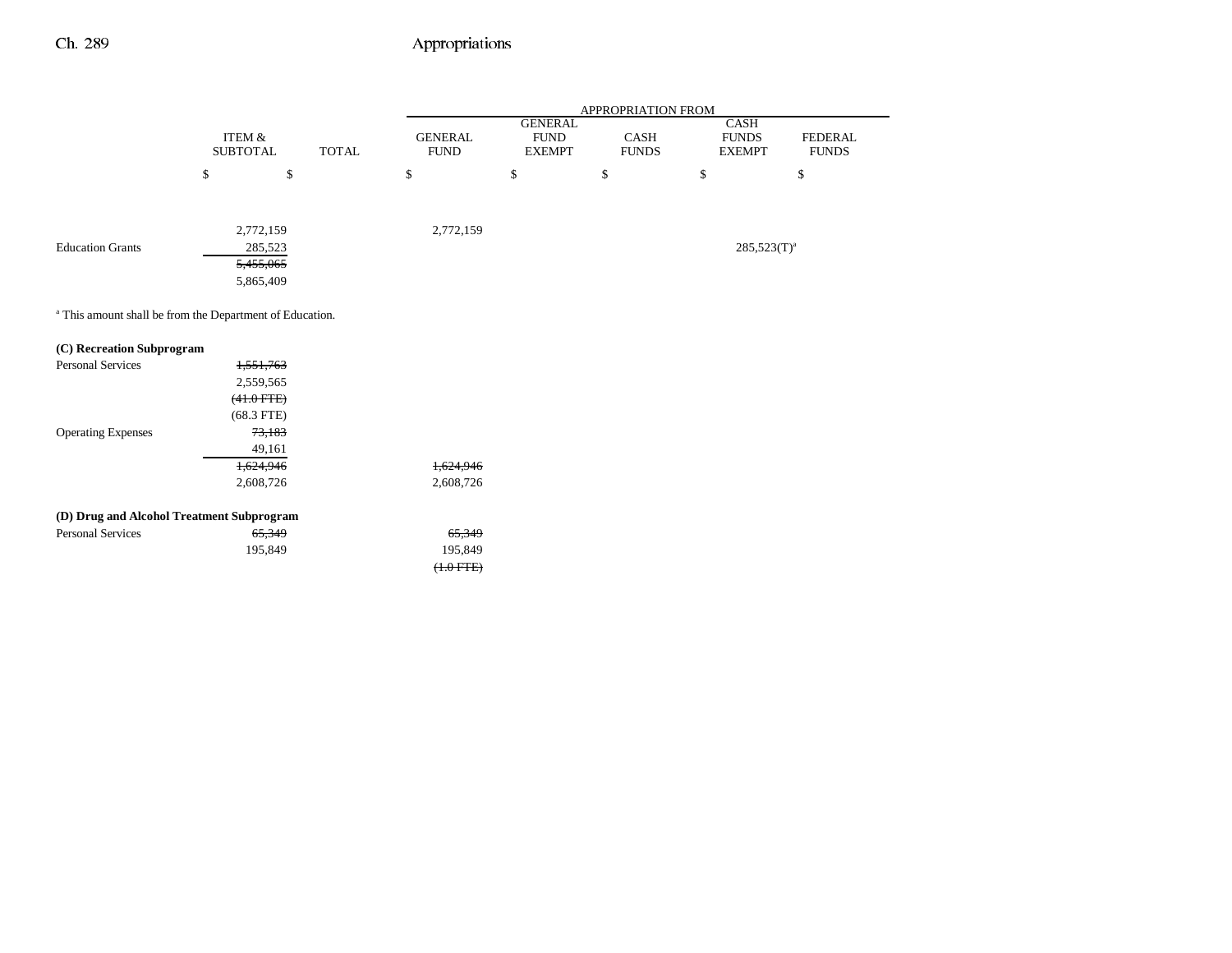-

|                                                       |                           |              |                               |                                                | APPROPRIATION FROM   |                                              |                                |
|-------------------------------------------------------|---------------------------|--------------|-------------------------------|------------------------------------------------|----------------------|----------------------------------------------|--------------------------------|
|                                                       | ITEM &<br><b>SUBTOTAL</b> | <b>TOTAL</b> | <b>GENERAL</b><br><b>FUND</b> | <b>GENERAL</b><br><b>FUND</b><br><b>EXEMPT</b> | CASH<br><b>FUNDS</b> | <b>CASH</b><br><b>FUNDS</b><br><b>EXEMPT</b> | <b>FEDERAL</b><br><b>FUNDS</b> |
|                                                       | \$<br>\$                  |              | \$                            | \$                                             | \$                   | \$                                           | \$                             |
|                                                       | 2,772,159                 |              | 2,772,159                     |                                                |                      |                                              |                                |
| <b>Education Grants</b>                               | 285,523                   |              |                               |                                                |                      | $285,523(T)^a$                               |                                |
|                                                       | 5,455,065                 |              |                               |                                                |                      |                                              |                                |
|                                                       | 5,865,409                 |              |                               |                                                |                      |                                              |                                |
| (C) Recreation Subprogram<br><b>Personal Services</b> | 1,551,763                 |              |                               |                                                |                      |                                              |                                |
|                                                       | 2,559,565                 |              |                               |                                                |                      |                                              |                                |
|                                                       | $(41.0$ FTE $)$           |              |                               |                                                |                      |                                              |                                |
|                                                       | $(68.3$ FTE)              |              |                               |                                                |                      |                                              |                                |
| <b>Operating Expenses</b>                             | 73,183                    |              |                               |                                                |                      |                                              |                                |
|                                                       | 49,161                    |              | 1,624,946                     |                                                |                      |                                              |                                |
|                                                       | 1,624,946<br>2,608,726    |              | 2,608,726                     |                                                |                      |                                              |                                |
|                                                       |                           |              |                               |                                                |                      |                                              |                                |
| (D) Drug and Alcohol Treatment Subprogram             |                           |              |                               |                                                |                      |                                              |                                |
| <b>Personal Services</b>                              | 65,349                    |              | 65,349                        |                                                |                      |                                              |                                |
|                                                       | 195,849                   |              | 195,849                       |                                                |                      |                                              |                                |
|                                                       |                           |              | $(+.0$ FTE $)$                |                                                |                      |                                              |                                |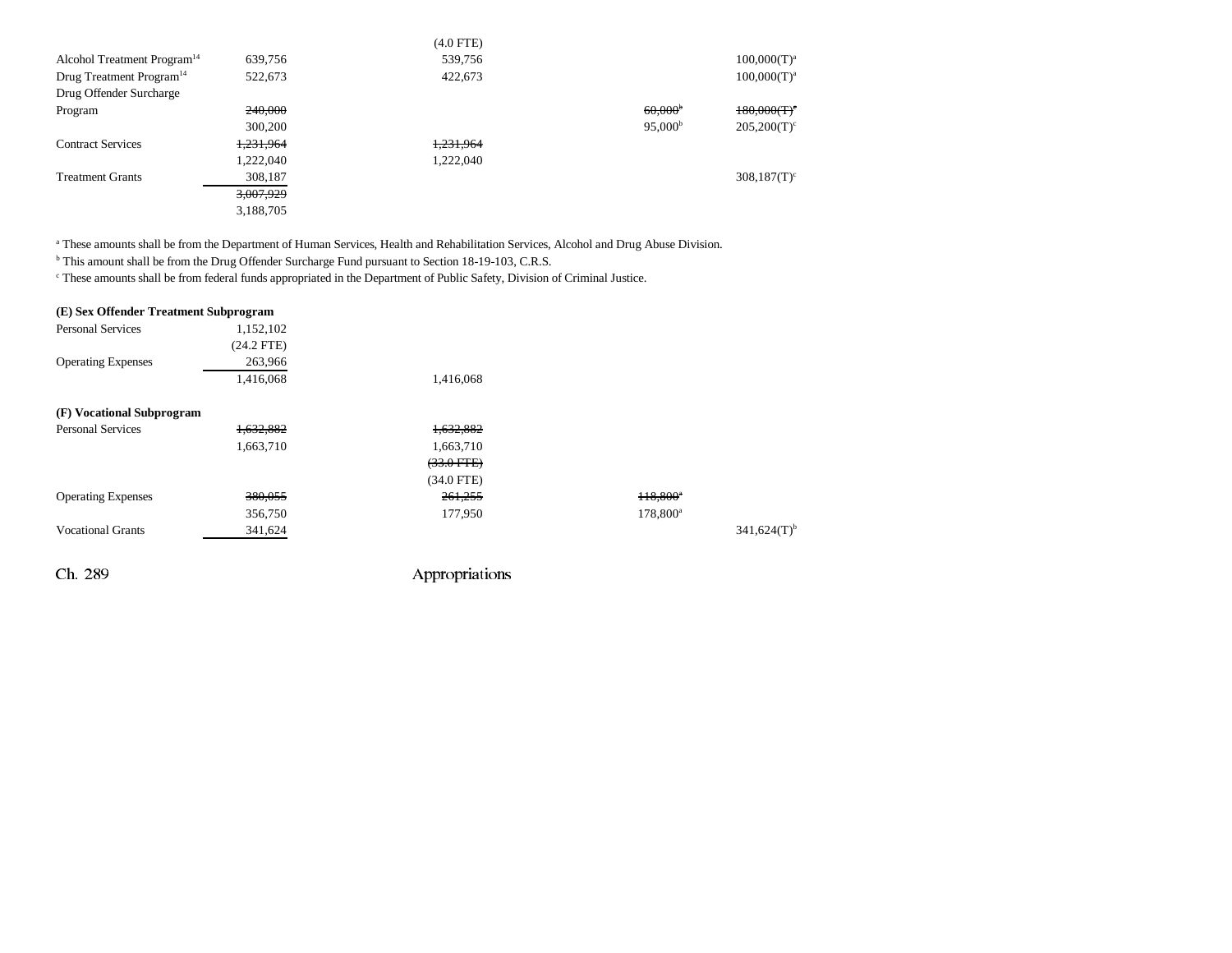|                                         |           | $(4.0$ FTE) |                       |                |
|-----------------------------------------|-----------|-------------|-----------------------|----------------|
| Alcohol Treatment Program <sup>14</sup> | 639,756   | 539,756     |                       | $100,000(T)^a$ |
| Drug Treatment Program <sup>14</sup>    | 522,673   | 422,673     |                       | $100,000(T)^a$ |
| Drug Offender Surcharge                 |           |             |                       |                |
| Program                                 | 240,000   |             | $60,000$ <sup>b</sup> | $180,000(T)^c$ |
|                                         | 300,200   |             | 95,000 <sup>b</sup>   | $205,200(T)^c$ |
| <b>Contract Services</b>                | 1,231,964 | 1,231,964   |                       |                |
|                                         | 1,222,040 | 1,222,040   |                       |                |
| <b>Treatment Grants</b>                 | 308,187   |             |                       | $308,187(T)^c$ |
|                                         | 3,007,929 |             |                       |                |
|                                         | 3,188,705 |             |                       |                |

<sup>a</sup> These amounts shall be from the Department of Human Services, Health and Rehabilitation Services, Alcohol and Drug Abuse Division.

<sup>b</sup> This amount shall be from the Drug Offender Surcharge Fund pursuant to Section 18-19-103, C.R.S.

c These amounts shall be from federal funds appropriated in the Department of Public Safety, Division of Criminal Justice.

| (E) Sex Offender Treatment Subprogram |              |                 |                      |                           |
|---------------------------------------|--------------|-----------------|----------------------|---------------------------|
| <b>Personal Services</b>              | 1,152,102    |                 |                      |                           |
|                                       | $(24.2$ FTE) |                 |                      |                           |
| <b>Operating Expenses</b>             | 263,966      |                 |                      |                           |
|                                       | 1,416,068    | 1,416,068       |                      |                           |
| (F) Vocational Subprogram             |              |                 |                      |                           |
| <b>Personal Services</b>              | 1,632,882    | 1,632,882       |                      |                           |
|                                       | 1,663,710    | 1,663,710       |                      |                           |
|                                       |              | $(33.0$ FTE $)$ |                      |                           |
|                                       |              | $(34.0$ FTE)    |                      |                           |
| <b>Operating Expenses</b>             | 380,055      | 261,255         | 118,800 <sup>*</sup> |                           |
|                                       | 356,750      | 177,950         | $178,800^{\circ}$    |                           |
| <b>Vocational Grants</b>              | 341,624      |                 |                      | $341,624(T)$ <sup>b</sup> |
| Ch. 289                               |              | Appropriations  |                      |                           |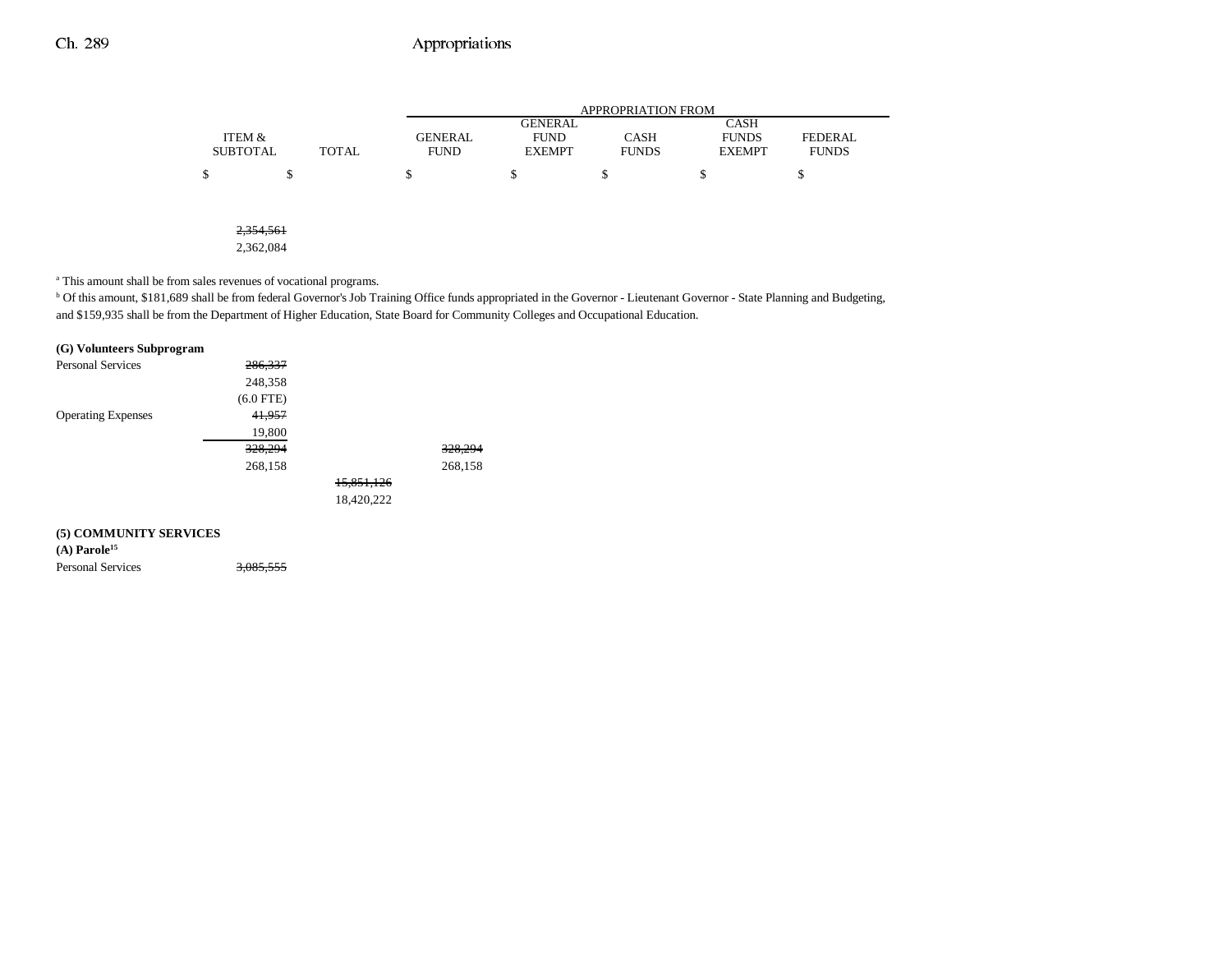|                       |              |                |                | <b>APPROPRIATION FROM</b> |               |                |
|-----------------------|--------------|----------------|----------------|---------------------------|---------------|----------------|
|                       |              |                | <b>GENERAL</b> |                           | <b>CASH</b>   |                |
| ITEM &                |              | <b>GENERAL</b> | <b>FUND</b>    | <b>CASH</b>               | <b>FUNDS</b>  | <b>FEDERAL</b> |
| <b>SUBTOTAL</b>       | <b>TOTAL</b> | <b>FUND</b>    | <b>EXEMPT</b>  | <b>FUNDS</b>              | <b>EXEMPT</b> | <b>FUNDS</b>   |
| \$<br>\$              |              | S              | \$             | \$                        | S             | S              |
|                       |              |                |                |                           |               |                |
|                       |              |                |                |                           |               |                |
|                       |              |                |                |                           |               |                |
| 2.254561<br>2,334,301 |              |                |                |                           |               |                |

2,362,084

a This amount shall be from sales revenues of vocational programs.

b Of this amount, \$181,689 shall be from federal Governor's Job Training Office funds appropriated in the Governor - Lieutenant Governor - State Planning and Budgeting, and \$159,935 shall be from the Department of Higher Education, State Board for Community Colleges and Occupational Education.

#### **(G) Volunteers Subprogram**

| <b>Personal Services</b>  | 286,337     |            |         |
|---------------------------|-------------|------------|---------|
|                           | 248,358     |            |         |
|                           | $(6.0$ FTE) |            |         |
| <b>Operating Expenses</b> | 41,957      |            |         |
|                           | 19,800      |            |         |
|                           | 328,294     |            | 328,294 |
|                           | 268,158     |            | 268,158 |
|                           |             | 15,851,126 |         |
|                           |             | 18,420,222 |         |
|                           |             |            |         |
| (5) СОММИМИТУ СЕРУІСЕС    |             |            |         |

#### **(5) COMMUNITY SERVICES**

**(A) Parole15**

Personal Services 3,085,555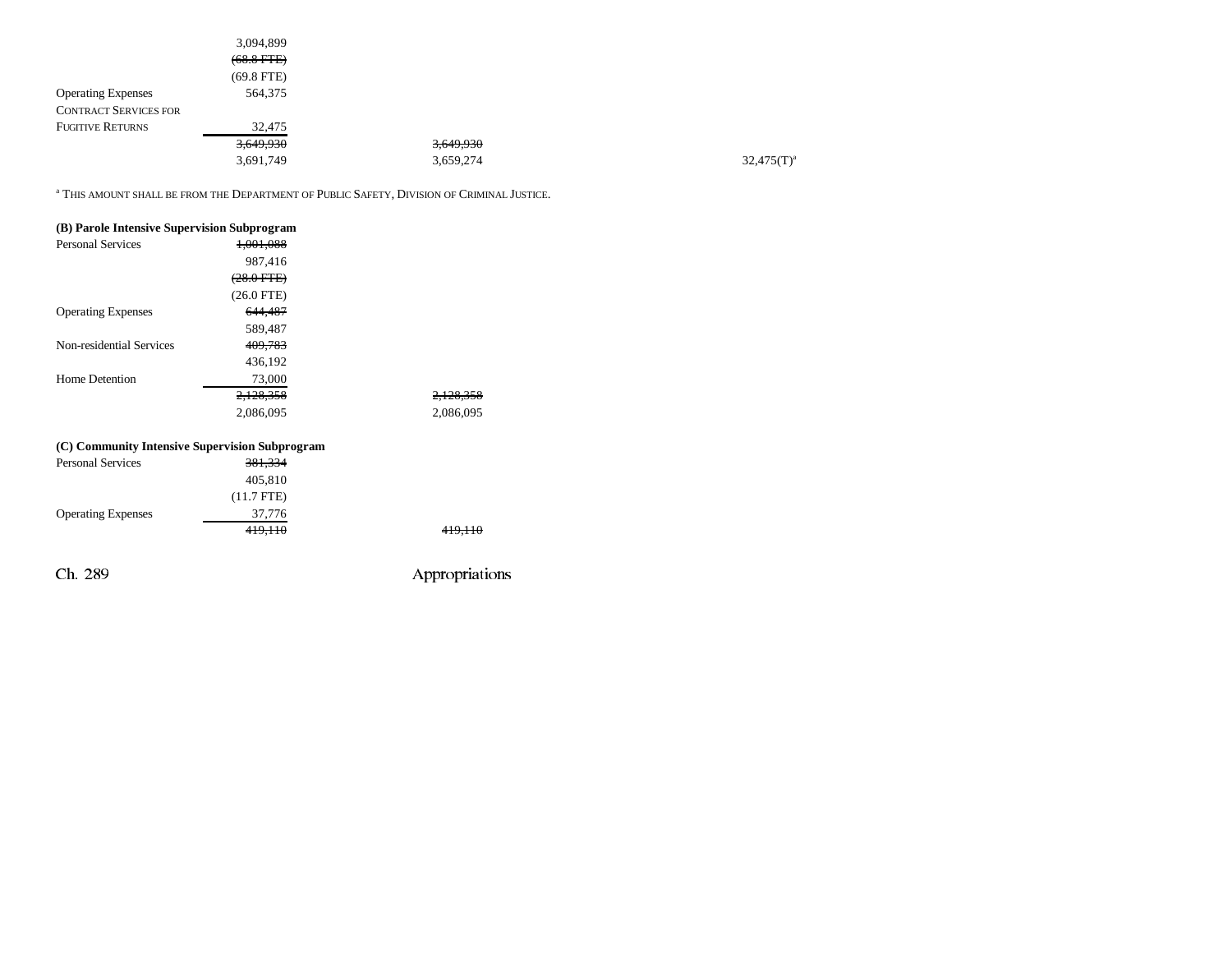|                              | 3,094,899       |           |               |
|------------------------------|-----------------|-----------|---------------|
|                              | $(68.8$ FTE $)$ |           |               |
|                              | $(69.8$ FTE)    |           |               |
| <b>Operating Expenses</b>    | 564,375         |           |               |
| <b>CONTRACT SERVICES FOR</b> |                 |           |               |
| <b>FUGITIVE RETURNS</b>      | 32,475          |           |               |
|                              | 3,649,930       | 3,649,930 |               |
|                              | 3,691,749       | 3,659,274 | $32,475(T)^a$ |
|                              |                 |           |               |

<sup>a</sup> This amount shall be from the Department of Public Safety, Division of Criminal Justice.

| (B) Parole Intensive Supervision Subprogram |              |                       |
|---------------------------------------------|--------------|-----------------------|
| <b>Personal Services</b>                    | 1.001.088    |                       |
|                                             | 987,416      |                       |
|                                             | $(28.0$ FTE) |                       |
|                                             | $(26.0$ FTE) |                       |
| <b>Operating Expenses</b>                   | 644,487      |                       |
|                                             | 589,487      |                       |
| Non-residential Services                    | 409.783      |                       |
|                                             | 436,192      |                       |
| Home Detention                              | 73,000       |                       |
|                                             | 2.128.358    | <del>2.128.35</del> 8 |
|                                             | 2,086,095    | 2.086.095             |
|                                             |              |                       |

### **(C) Community Intensive Supervision Subprogram**

| 419,110 |
|---------|
|         |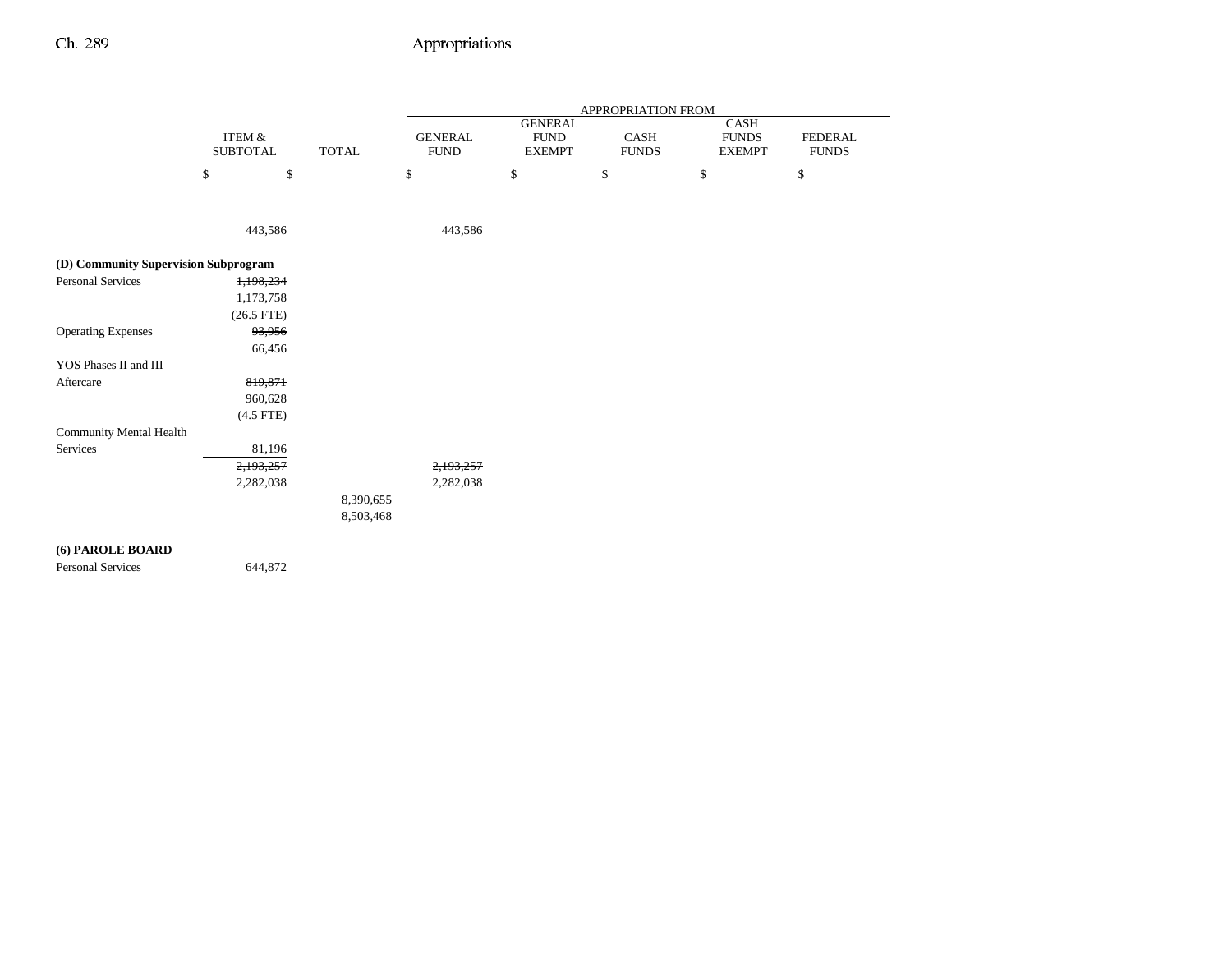|                                      | <b>ITEM &amp;</b> |              |                               | <b>GENERAL</b>               |                      | CASH                          |                                |
|--------------------------------------|-------------------|--------------|-------------------------------|------------------------------|----------------------|-------------------------------|--------------------------------|
|                                      | <b>SUBTOTAL</b>   | <b>TOTAL</b> | <b>GENERAL</b><br><b>FUND</b> | <b>FUND</b><br><b>EXEMPT</b> | CASH<br><b>FUNDS</b> | <b>FUNDS</b><br><b>EXEMPT</b> | <b>FEDERAL</b><br><b>FUNDS</b> |
|                                      | \$<br>\$          |              | \$                            | $\$$                         | \$                   | \$                            | \$                             |
|                                      | 443,586           |              | 443,586                       |                              |                      |                               |                                |
| (D) Community Supervision Subprogram |                   |              |                               |                              |                      |                               |                                |
| <b>Personal Services</b>             | 1,198,234         |              |                               |                              |                      |                               |                                |
|                                      | 1,173,758         |              |                               |                              |                      |                               |                                |
|                                      | $(26.5$ FTE)      |              |                               |                              |                      |                               |                                |
| <b>Operating Expenses</b>            | 93,956            |              |                               |                              |                      |                               |                                |
|                                      | 66,456            |              |                               |                              |                      |                               |                                |
| YOS Phases II and III                |                   |              |                               |                              |                      |                               |                                |
| Aftercare                            | 819,871           |              |                               |                              |                      |                               |                                |
|                                      | 960,628           |              |                               |                              |                      |                               |                                |
|                                      | $(4.5$ FTE)       |              |                               |                              |                      |                               |                                |
| <b>Community Mental Health</b>       |                   |              |                               |                              |                      |                               |                                |
| Services                             | 81,196            |              |                               |                              |                      |                               |                                |
|                                      | 2,193,257         |              | 2,193,257                     |                              |                      |                               |                                |
|                                      | 2,282,038         |              | 2,282,038                     |                              |                      |                               |                                |
|                                      |                   | 8,390,655    |                               |                              |                      |                               |                                |
|                                      |                   | 8,503,468    |                               |                              |                      |                               |                                |

Personal Services 644,872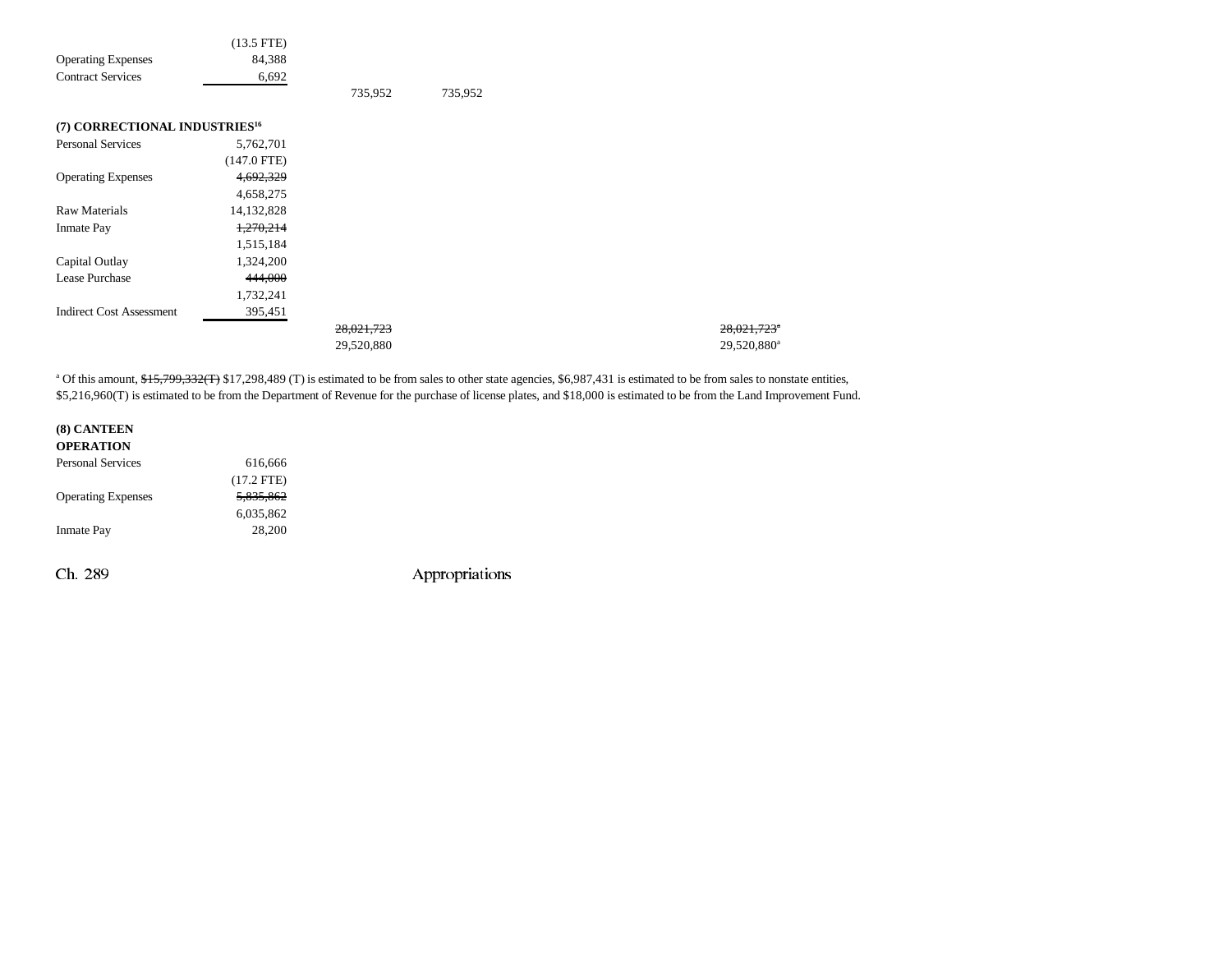| 84,388<br><b>Operating Expenses</b>        |
|--------------------------------------------|
| <b>Contract Services</b><br>6,692          |
| 735,952<br>735,952                         |
| (7) CORRECTIONAL INDUSTRIES <sup>16</sup>  |
| <b>Personal Services</b><br>5,762,701      |
| $(147.0$ FTE)                              |
| <b>Operating Expenses</b><br>4,692,329     |
| 4,658,275                                  |
| <b>Raw Materials</b><br>14,132,828         |
| 1,270,214<br><b>Inmate Pay</b>             |
| 1,515,184                                  |
| Capital Outlay<br>1,324,200                |
| Lease Purchase<br>444,000                  |
| 1,732,241                                  |
| <b>Indirect Cost Assessment</b><br>395,451 |
| 28,021,723                                 |
| 29,520,880                                 |

<sup>a</sup> Of this amount, \$15,799,332(T) \$17,298,489 (T) is estimated to be from sales to other state agencies, \$6,987,431 is estimated to be from sales to nonstate entities, \$5,216,960(T) is estimated to be from the Department of Revenue for the purchase of license plates, and \$18,000 is estimated to be from the Land Improvement Fund.

28,021,723<sup>e</sup> 29,520,880<sup>a</sup>

| (8) CANTEEN               |              |
|---------------------------|--------------|
| <b>OPERATION</b>          |              |
| <b>Personal Services</b>  | 616.666      |
|                           | $(17.2$ FTE) |
| <b>Operating Expenses</b> | 5.835.862    |
|                           | 6,035,862    |
| <b>Inmate Pay</b>         | 28,200       |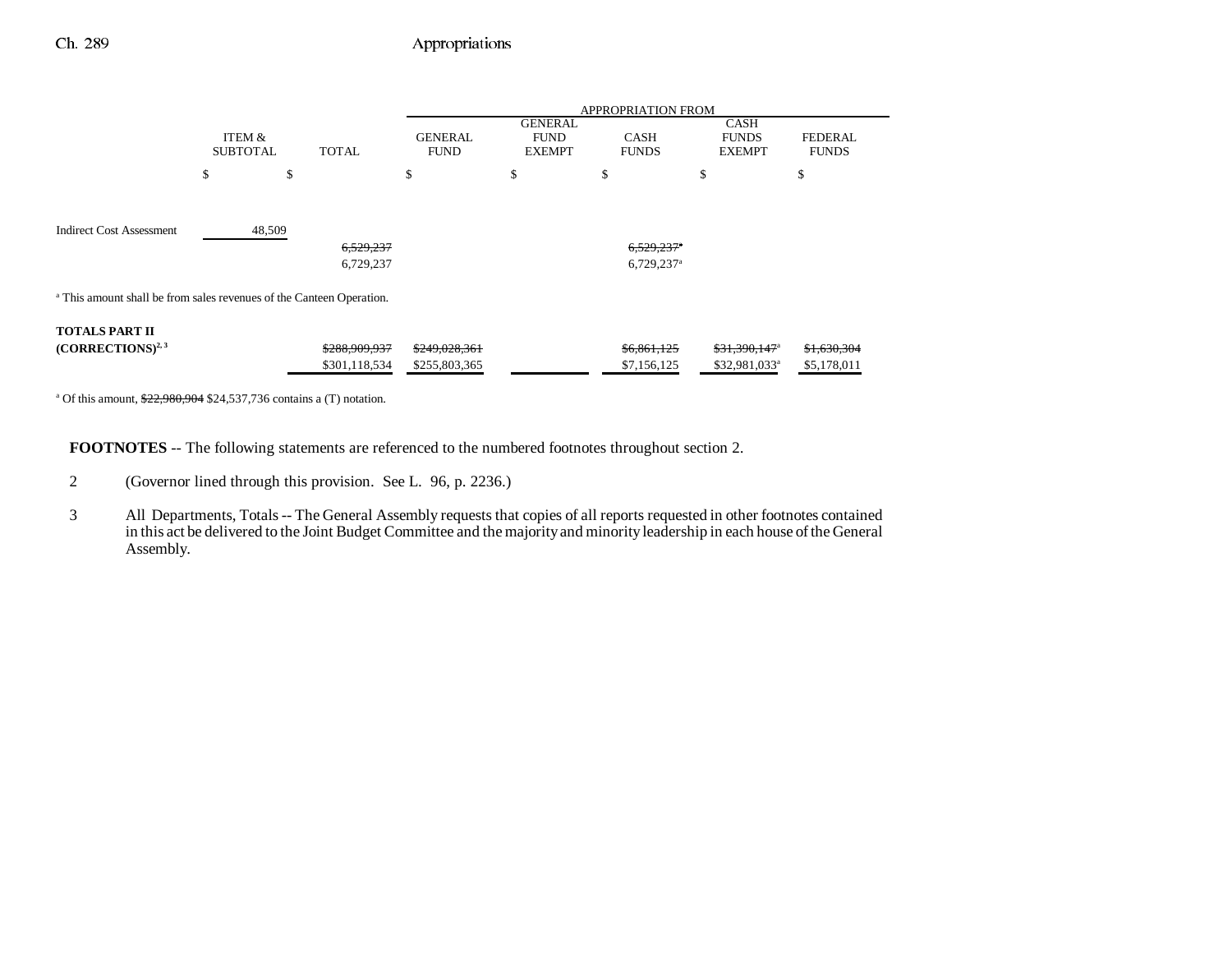|                                                                                 |                           |                                | <b>APPROPRIATION FROM</b>      |                                                |                                                      |                                                         |                                |  |  |  |
|---------------------------------------------------------------------------------|---------------------------|--------------------------------|--------------------------------|------------------------------------------------|------------------------------------------------------|---------------------------------------------------------|--------------------------------|--|--|--|
|                                                                                 | ITEM &<br><b>SUBTOTAL</b> | <b>TOTAL</b>                   | <b>GENERAL</b><br><b>FUND</b>  | <b>GENERAL</b><br><b>FUND</b><br><b>EXEMPT</b> | <b>CASH</b><br><b>FUNDS</b>                          | <b>CASH</b><br><b>FUNDS</b><br><b>EXEMPT</b>            | <b>FEDERAL</b><br><b>FUNDS</b> |  |  |  |
|                                                                                 | \$                        | \$                             | \$                             | \$                                             | \$                                                   | \$                                                      | \$                             |  |  |  |
| <b>Indirect Cost Assessment</b>                                                 | 48,509                    | 6,529,237<br>6,729,237         |                                |                                                | $6,529,237$ <sup>*</sup><br>$6,729,237$ <sup>a</sup> |                                                         |                                |  |  |  |
| <sup>a</sup> This amount shall be from sales revenues of the Canteen Operation. |                           |                                |                                |                                                |                                                      |                                                         |                                |  |  |  |
| <b>TOTALS PART II</b><br>$(CORRECTIONS)^{2,3}$                                  |                           | \$288,909,937<br>\$301,118,534 | \$249,028,361<br>\$255,803,365 |                                                | \$6,861,125<br>\$7,156,125                           | $$31,390,147$ <sup>a</sup><br>\$32,981,033 <sup>a</sup> | \$1,630,304<br>\$5,178,011     |  |  |  |

<sup>a</sup> Of this amount,  $\frac{$22,980,904}{$24,537,736}$  contains a (T) notation.

**FOOTNOTES** -- The following statements are referenced to the numbered footnotes throughout section 2.

2 (Governor lined through this provision. See L. 96, p. 2236.)

3 All Departments, Totals -- The General Assembly requests that copies of all reports requested in other footnotes contained in this act be delivered to the Joint Budget Committee and the majority and minority leadership in each house of the General Assembly.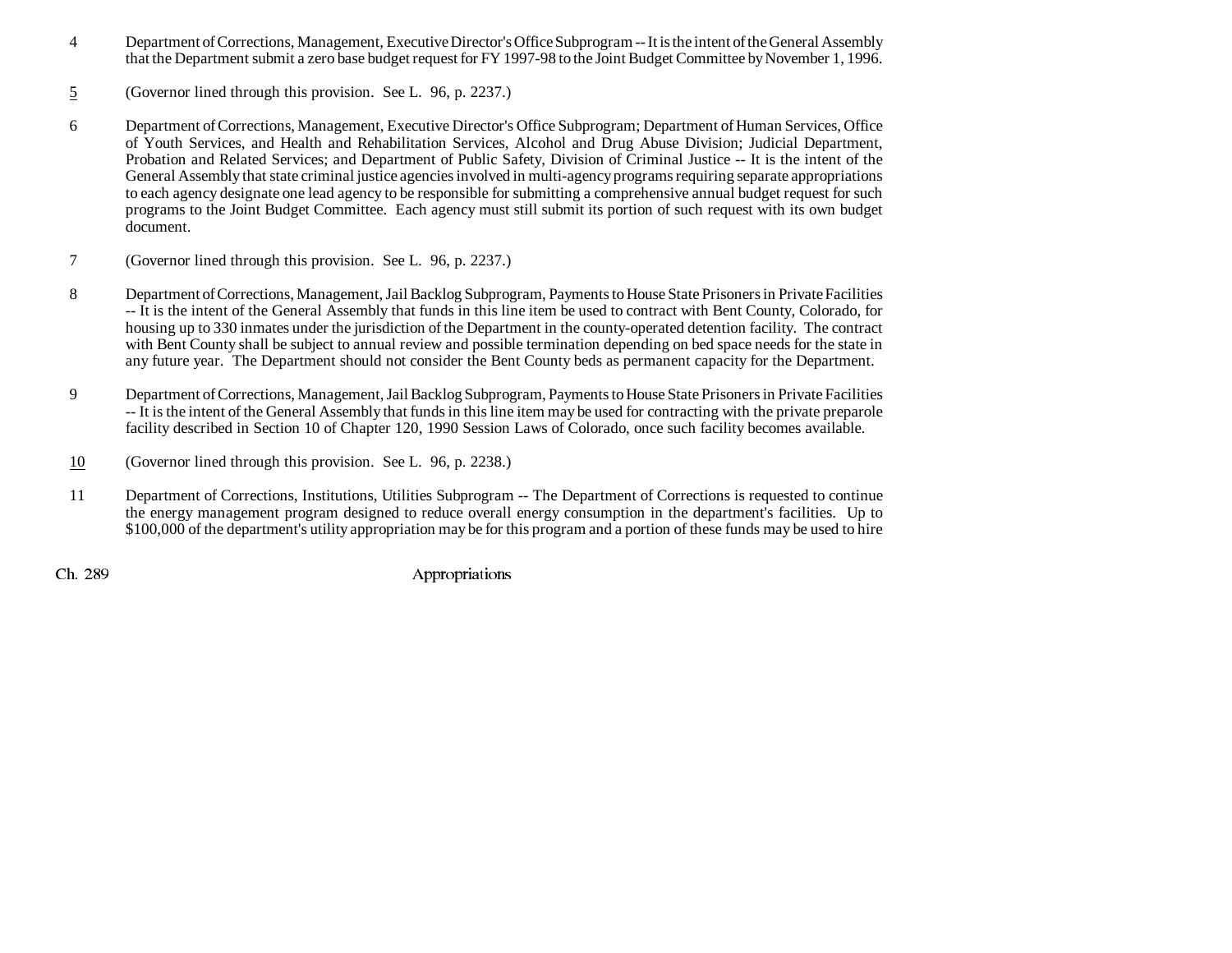- 4 Department of Corrections, Management, Executive Director's Office Subprogram -- It is the intent of the General Assembly that the Department submit a zero base budget request for FY 1997-98 to the Joint Budget Committee by November 1, 1996.
- 5(Governor lined through this provision. See L. 96, p. 2237.)
- 6 Department of Corrections, Management, Executive Director's Office Subprogram; Department of Human Services, Office of Youth Services, and Health and Rehabilitation Services, Alcohol and Drug Abuse Division; Judicial Department, Probation and Related Services; and Department of Public Safety, Division of Criminal Justice -- It is the intent of the General Assembly that state criminal justice agencies involved in multi-agency programs requiring separate appropriations to each agency designate one lead agency to be responsible for submitting a comprehensive annual budget request for such programs to the Joint Budget Committee. Each agency must still submit its portion of such request with its own budget document.
- 7 (Governor lined through this provision. See L. 96, p. 2237.)
- 8 Department of Corrections, Management, Jail Backlog Subprogram, Payments to House State Prisoners in Private Facilities -- It is the intent of the General Assembly that funds in this line item be used to contract with Bent County, Colorado, for housing up to 330 inmates under the jurisdiction of the Department in the county-operated detention facility. The contract with Bent County shall be subject to annual review and possible termination depending on bed space needs for the state in any future year. The Department should not consider the Bent County beds as permanent capacity for the Department.
- 9 Department of Corrections, Management, Jail Backlog Subprogram, Payments to House State Prisoners in Private Facilities -- It is the intent of the General Assembly that funds in this line item may be used for contracting with the private preparole facility described in Section 10 of Chapter 120, 1990 Session Laws of Colorado, once such facility becomes available.
- 10(Governor lined through this provision. See L. 96, p. 2238.)
- 11 Department of Corrections, Institutions, Utilities Subprogram -- The Department of Corrections is requested to continue the energy management program designed to reduce overall energy consumption in the department's facilities. Up to \$100,000 of the department's utility appropriation may be for this program and a portion of these funds may be used to hire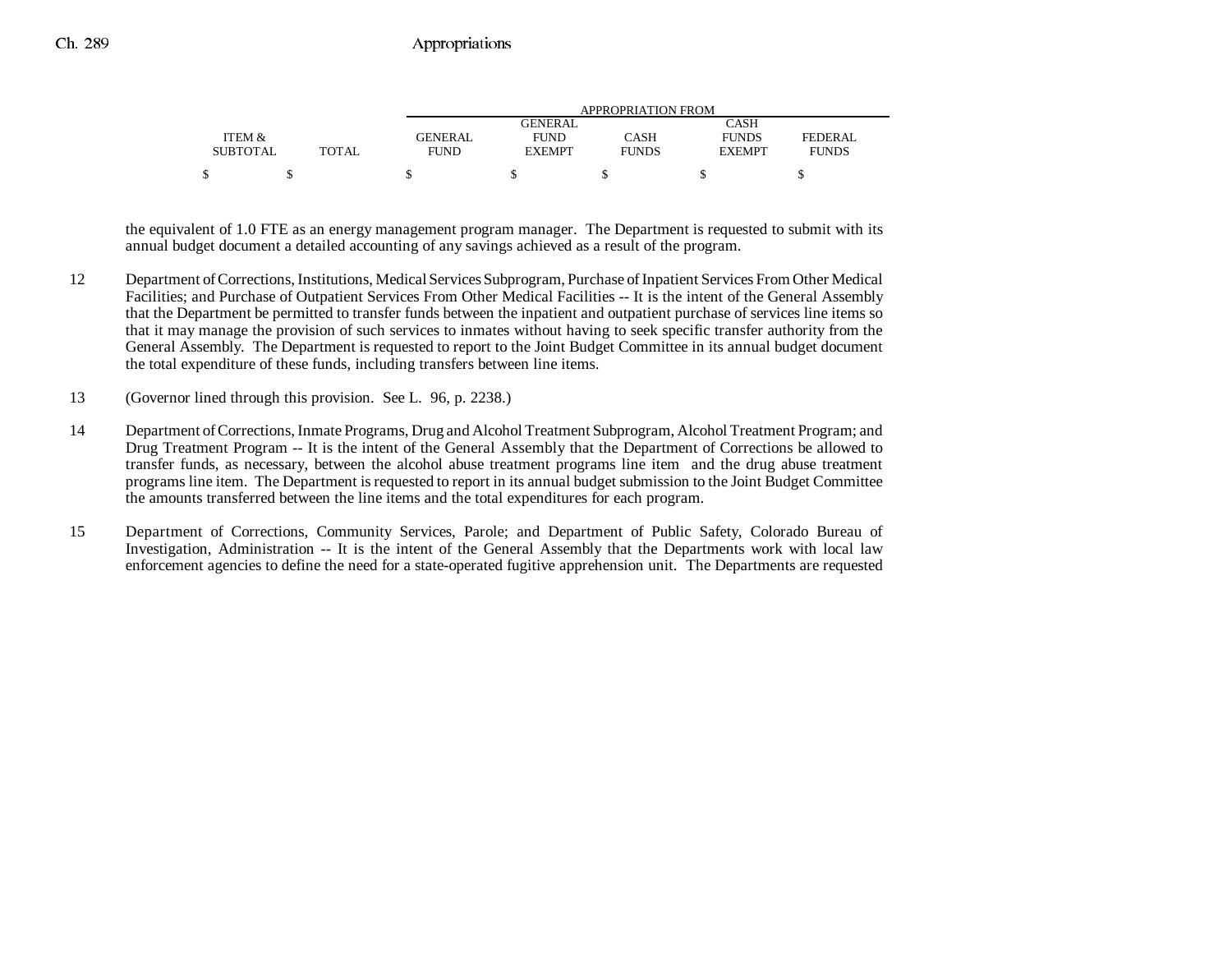|                 |              | APPROPRIATION FROM |               |              |               |              |  |  |
|-----------------|--------------|--------------------|---------------|--------------|---------------|--------------|--|--|
|                 |              |                    | GENERAL       |              | CASH          |              |  |  |
| ITEM &          |              | GENERAL            | <b>FUND</b>   | CASH         | <b>FUNDS</b>  | FEDERAL      |  |  |
| <b>SUBTOTAL</b> | <b>TOTAL</b> | <b>FUND</b>        | <b>EXEMPT</b> | <b>FUNDS</b> | <b>EXEMPT</b> | <b>FUNDS</b> |  |  |
|                 |              |                    |               |              |               |              |  |  |

the equivalent of 1.0 FTE as an energy management program manager. The Department is requested to submit with its annual budget document a detailed accounting of any savings achieved as a result of the program.

- 12 Department of Corrections, Institutions, Medical Services Subprogram, Purchase of Inpatient Services From Other Medical Facilities; and Purchase of Outpatient Services From Other Medical Facilities -- It is the intent of the General Assembly that the Department be permitted to transfer funds between the inpatient and outpatient purchase of services line items so that it may manage the provision of such services to inmates without having to seek specific transfer authority from the General Assembly. The Department is requested to report to the Joint Budget Committee in its annual budget document the total expenditure of these funds, including transfers between line items.
- 13 (Governor lined through this provision. See L. 96, p. 2238.)
- 14 Department of Corrections, Inmate Programs, Drug and Alcohol Treatment Subprogram, Alcohol Treatment Program; and Drug Treatment Program -- It is the intent of the General Assembly that the Department of Corrections be allowed to transfer funds, as necessary, between the alcohol abuse treatment programs line item and the drug abuse treatment programs line item. The Department is requested to report in its annual budget submission to the Joint Budget Committee the amounts transferred between the line items and the total expenditures for each program.
- 15 Department of Corrections, Community Services, Parole; and Department of Public Safety, Colorado Bureau of Investigation, Administration -- It is the intent of the General Assembly that the Departments work with local law enforcement agencies to define the need for a state-operated fugitive apprehension unit. The Departments are requested